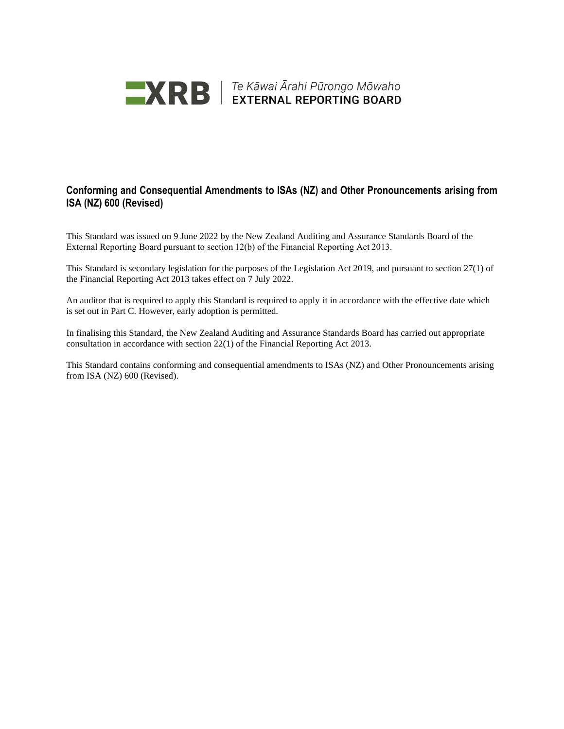

**EXRE** FE Kāwai Ārahi Pūrongo Mōwaho

#### **Conforming and Consequential Amendments to ISAs (NZ) and Other Pronouncements arising from ISA (NZ) 600 (Revised)**

This Standard was issued on 9 June 2022 by the New Zealand Auditing and Assurance Standards Board of the External Reporting Board pursuant to section 12(b) of the Financial Reporting Act 2013.

This Standard is secondary legislation for the purposes of the Legislation Act 2019, and pursuant to section 27(1) of the Financial Reporting Act 2013 takes effect on 7 July 2022.

An auditor that is required to apply this Standard is required to apply it in accordance with the effective date which is set out in Part C. However, early adoption is permitted.

In finalising this Standard, the New Zealand Auditing and Assurance Standards Board has carried out appropriate consultation in accordance with section 22(1) of the Financial Reporting Act 2013.

This Standard contains conforming and consequential amendments to ISAs (NZ) and Other Pronouncements arising from ISA (NZ) 600 (Revised).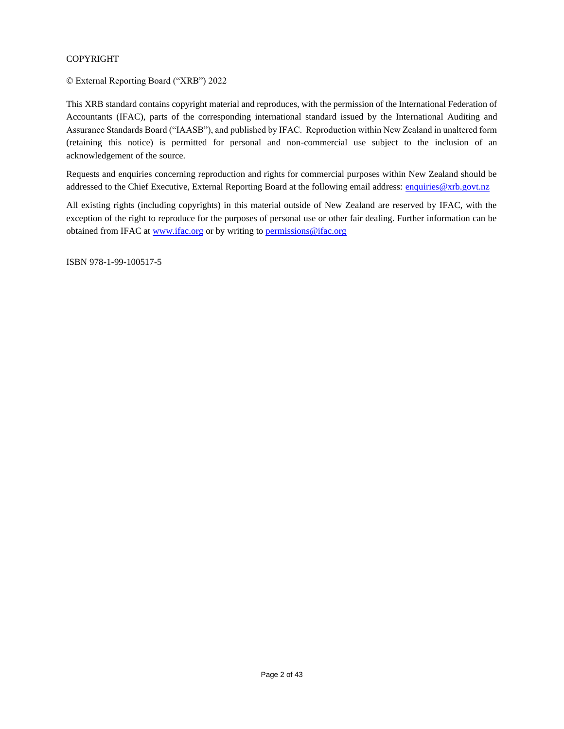#### COPYRIGHT

© External Reporting Board ("XRB") 2022

This XRB standard contains copyright material and reproduces, with the permission of the International Federation of Accountants (IFAC), parts of the corresponding international standard issued by the International Auditing and Assurance Standards Board ("IAASB"), and published by IFAC. Reproduction within New Zealand in unaltered form (retaining this notice) is permitted for personal and non-commercial use subject to the inclusion of an acknowledgement of the source.

Requests and enquiries concerning reproduction and rights for commercial purposes within New Zealand should be addressed to the Chief Executive, External Reporting Board at the following email address: [enquiries@xrb.govt.nz](mailto:enquiries@xrb.govt.nz)

All existing rights (including copyrights) in this material outside of New Zealand are reserved by IFAC, with the exception of the right to reproduce for the purposes of personal use or other fair dealing. Further information can be obtained from IFAC at [www.ifac.org](http://www.ifac.org/) or by writing to [permissions@ifac.org](mailto:permissions@ifac.org)

ISBN 978-1-99-100517-5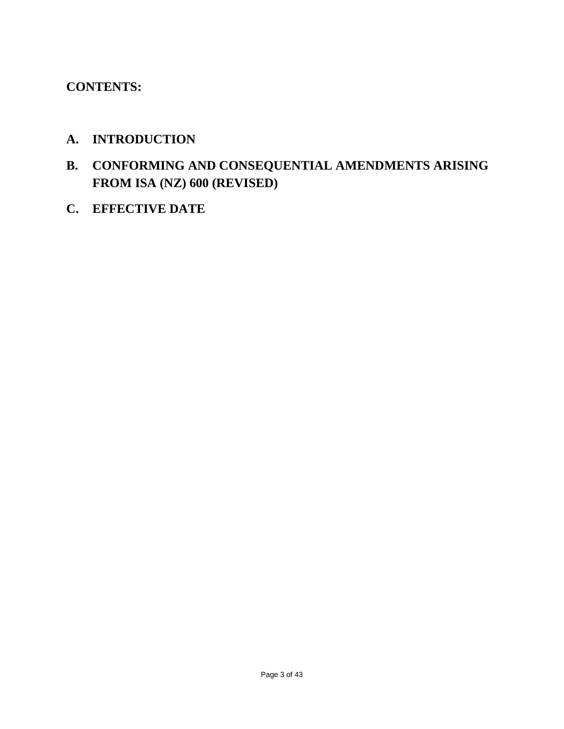# **CONTENTS:**

# **A. INTRODUCTION**

- **B. CONFORMING AND CONSEQUENTIAL AMENDMENTS ARISING FROM ISA (NZ) 600 (REVISED)**
- **C. EFFECTIVE DATE**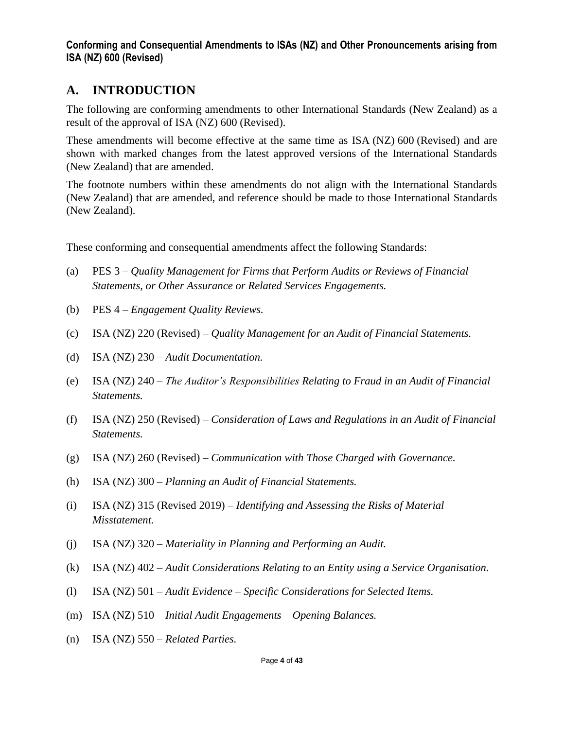# **A. INTRODUCTION**

The following are conforming amendments to other International Standards (New Zealand) as a result of the approval of ISA (NZ) 600 (Revised).

These amendments will become effective at the same time as ISA (NZ) 600 (Revised) and are shown with marked changes from the latest approved versions of the International Standards (New Zealand) that are amended.

The footnote numbers within these amendments do not align with the International Standards (New Zealand) that are amended, and reference should be made to those International Standards (New Zealand).

These conforming and consequential amendments affect the following Standards:

- (a) PES 3 *Quality Management for Firms that Perform Audits or Reviews of Financial Statements, or Other Assurance or Related Services Engagements.*
- (b) PES 4 *Engagement Quality Reviews.*
- (c) ISA (NZ) 220 (Revised) *Quality Management for an Audit of Financial Statements.*
- (d) ISA (NZ) 230 *Audit Documentation.*
- (e) ISA (NZ) 240 *The Auditor's Responsibilities Relating to Fraud in an Audit of Financial Statements.*
- (f) ISA (NZ) 250 (Revised) *Consideration of Laws and Regulations in an Audit of Financial Statements.*
- (g) ISA (NZ) 260 (Revised) *Communication with Those Charged with Governance.*
- (h) ISA (NZ) 300 *Planning an Audit of Financial Statements.*
- (i) ISA (NZ) 315 (Revised 2019) *Identifying and Assessing the Risks of Material Misstatement.*
- (j) ISA (NZ) 320 *Materiality in Planning and Performing an Audit.*
- (k) ISA (NZ) 402 *Audit Considerations Relating to an Entity using a Service Organisation.*
- (l) ISA (NZ) 501 *Audit Evidence – Specific Considerations for Selected Items.*
- (m) ISA (NZ) 510 *Initial Audit Engagements – Opening Balances.*
- (n) ISA (NZ) 550 *Related Parties.*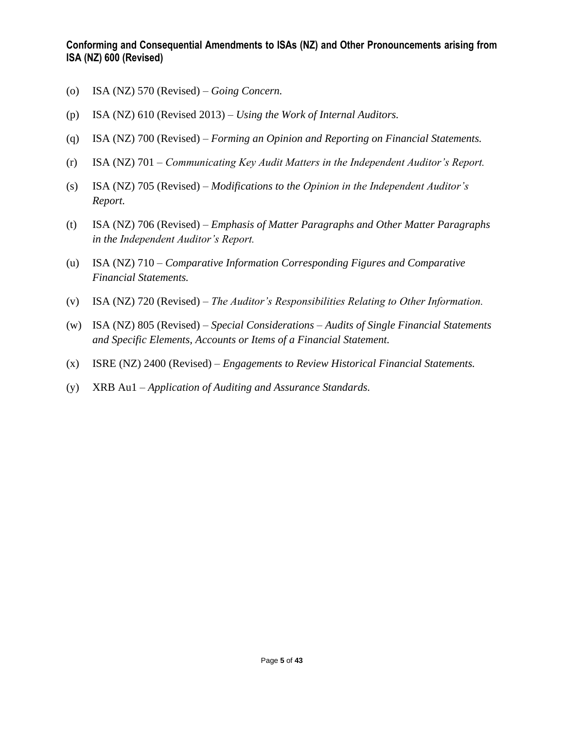- (o) ISA (NZ) 570 (Revised) *Going Concern.*
- (p) ISA (NZ) 610 (Revised 2013) *Using the Work of Internal Auditors.*
- (q) ISA (NZ) 700 (Revised) *Forming an Opinion and Reporting on Financial Statements.*
- (r) ISA (NZ) 701 *Communicating Key Audit Matters in the Independent Auditor's Report.*
- (s) ISA (NZ) 705 (Revised) *Modifications to the Opinion in the Independent Auditor's Report.*
- (t) ISA (NZ) 706 (Revised) *Emphasis of Matter Paragraphs and Other Matter Paragraphs in the Independent Auditor's Report.*
- (u) ISA (NZ) 710 *Comparative Information Corresponding Figures and Comparative Financial Statements.*
- (v) ISA (NZ) 720 (Revised) *The Auditor's Responsibilities Relating to Other Information.*
- (w) ISA (NZ) 805 (Revised) *Special Considerations – Audits of Single Financial Statements and Specific Elements, Accounts or Items of a Financial Statement.*
- (x) ISRE (NZ) 2400 (Revised) *Engagements to Review Historical Financial Statements.*
- (y) XRB Au1 *Application of Auditing and Assurance Standards.*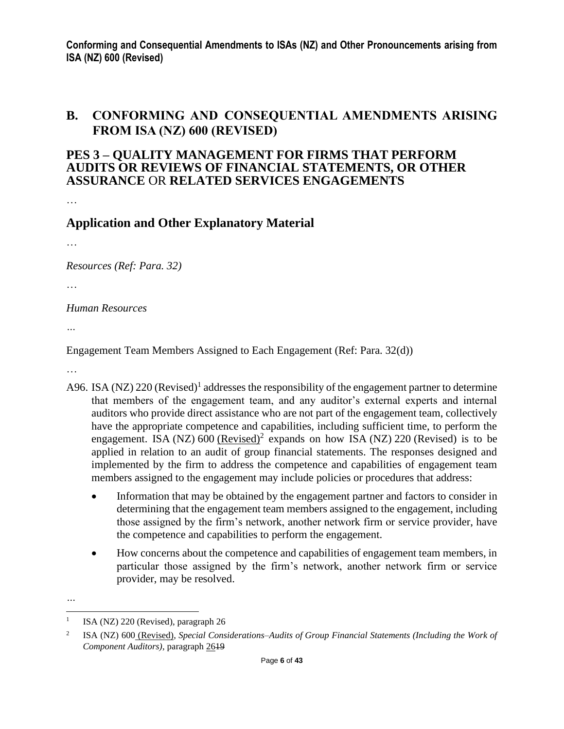## **B. CONFORMING AND CONSEQUENTIAL AMENDMENTS ARISING FROM ISA (NZ) 600 (REVISED)**

### **PES 3 – QUALITY MANAGEMENT FOR FIRMS THAT PERFORM AUDITS OR REVIEWS OF FINANCIAL STATEMENTS, OR OTHER ASSURANCE** OR **RELATED SERVICES ENGAGEMENTS**

…

## **Application and Other Explanatory Material**

…

*Resources (Ref: Para. 32)*

…

*Human Resources*

*…*

Engagement Team Members Assigned to Each Engagement (Ref: Para. 32(d))

…

- A96. ISA (NZ)  $220$  (Revised)<sup>1</sup> addresses the responsibility of the engagement partner to determine that members of the engagement team, and any auditor's external experts and internal auditors who provide direct assistance who are not part of the engagement team, collectively have the appropriate competence and capabilities, including sufficient time, to perform the engagement. ISA (NZ)  $600$  (Revised)<sup>2</sup> expands on how ISA (NZ) 220 (Revised) is to be applied in relation to an audit of group financial statements. The responses designed and implemented by the firm to address the competence and capabilities of engagement team members assigned to the engagement may include policies or procedures that address:
	- Information that may be obtained by the engagement partner and factors to consider in determining that the engagement team members assigned to the engagement, including those assigned by the firm's network, another network firm or service provider, have the competence and capabilities to perform the engagement.
	- How concerns about the competence and capabilities of engagement team members, in particular those assigned by the firm's network, another network firm or service provider, may be resolved.

<sup>1</sup> ISA (NZ) 220 (Revised), paragraph 26

<sup>2</sup> ISA (NZ) 600 (Revised), *Special Considerations–Audits of Group Financial Statements (Including the Work of Component Auditors)*, paragraph 2619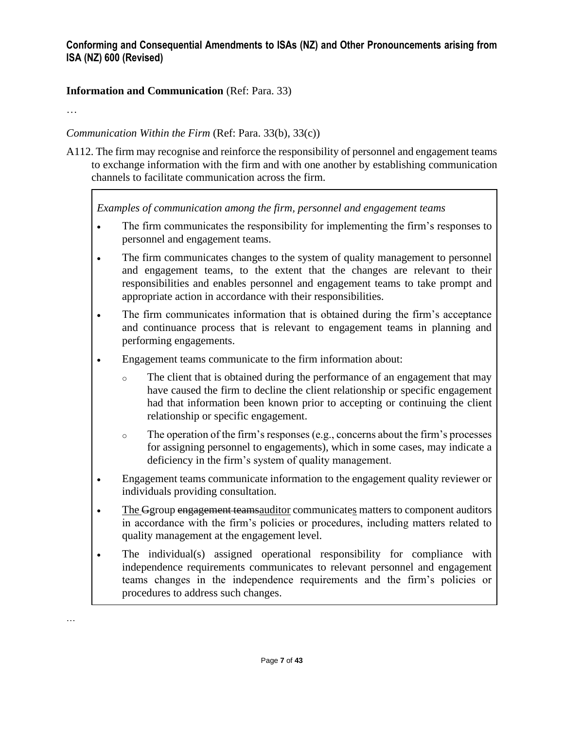### **Information and Communication** (Ref: Para. 33)

…

…

### *Communication Within the Firm* (Ref: Para. 33(b), 33(c))

A112. The firm may recognise and reinforce the responsibility of personnel and engagement teams to exchange information with the firm and with one another by establishing communication channels to facilitate communication across the firm.

*Examples of communication among the firm, personnel and engagement teams*

- The firm communicates the responsibility for implementing the firm's responses to personnel and engagement teams.
- The firm communicates changes to the system of quality management to personnel and engagement teams, to the extent that the changes are relevant to their responsibilities and enables personnel and engagement teams to take prompt and appropriate action in accordance with their responsibilities.
- The firm communicates information that is obtained during the firm's acceptance and continuance process that is relevant to engagement teams in planning and performing engagements.
- Engagement teams communicate to the firm information about:
	- o The client that is obtained during the performance of an engagement that may have caused the firm to decline the client relationship or specific engagement had that information been known prior to accepting or continuing the client relationship or specific engagement.
	- o The operation of the firm's responses (e.g., concerns about the firm's processes for assigning personnel to engagements), which in some cases, may indicate a deficiency in the firm's system of quality management.
- Engagement teams communicate information to the engagement quality reviewer or individuals providing consultation.
- The Ggroup engagement teams auditor communicates matters to component auditors in accordance with the firm's policies or procedures, including matters related to quality management at the engagement level.
- The individual(s) assigned operational responsibility for compliance with independence requirements communicates to relevant personnel and engagement teams changes in the independence requirements and the firm's policies or procedures to address such changes.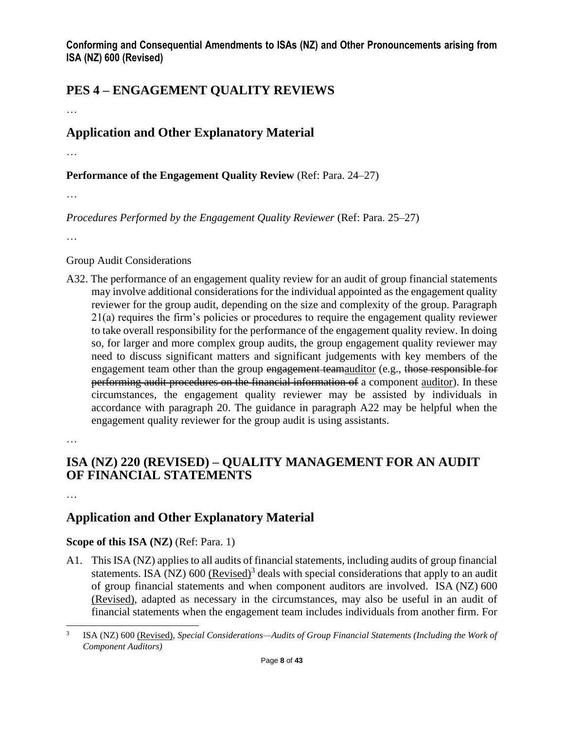# **PES 4 – ENGAGEMENT QUALITY REVIEWS**

…

# **Application and Other Explanatory Material**

…

**Performance of the Engagement Quality Review** (Ref: Para. 24–27)

…

*Procedures Performed by the Engagement Quality Reviewer* (Ref: Para. 25–27)

…

#### Group Audit Considerations

A32. The performance of an engagement quality review for an audit of group financial statements may involve additional considerations for the individual appointed as the engagement quality reviewer for the group audit, depending on the size and complexity of the group. Paragraph 21(a) requires the firm's policies or procedures to require the engagement quality reviewer to take overall responsibility for the performance of the engagement quality review. In doing so, for larger and more complex group audits, the group engagement quality reviewer may need to discuss significant matters and significant judgements with key members of the engagement team other than the group engagement teamauditor (e.g., those responsible for performing audit procedures on the financial information of a component auditor). In these circumstances, the engagement quality reviewer may be assisted by individuals in accordance with paragraph 20. The guidance in paragraph A22 may be helpful when the engagement quality reviewer for the group audit is using assistants.

…

# **ISA (NZ) 220 (REVISED) – QUALITY MANAGEMENT FOR AN AUDIT OF FINANCIAL STATEMENTS**

…

# **Application and Other Explanatory Material**

### **Scope of this ISA (NZ)** (Ref: Para. 1)

A1. This ISA (NZ) applies to all audits of financial statements, including audits of group financial statements. ISA (NZ) 600 (Revised)<sup>3</sup> deals with special considerations that apply to an audit of group financial statements and when component auditors are involved. ISA (NZ) 600 (Revised), adapted as necessary in the circumstances, may also be useful in an audit of financial statements when the engagement team includes individuals from another firm. For

<sup>3</sup> ISA (NZ) 600 (Revised), *Special Considerations—Audits of Group Financial Statements (Including the Work of Component Auditors)*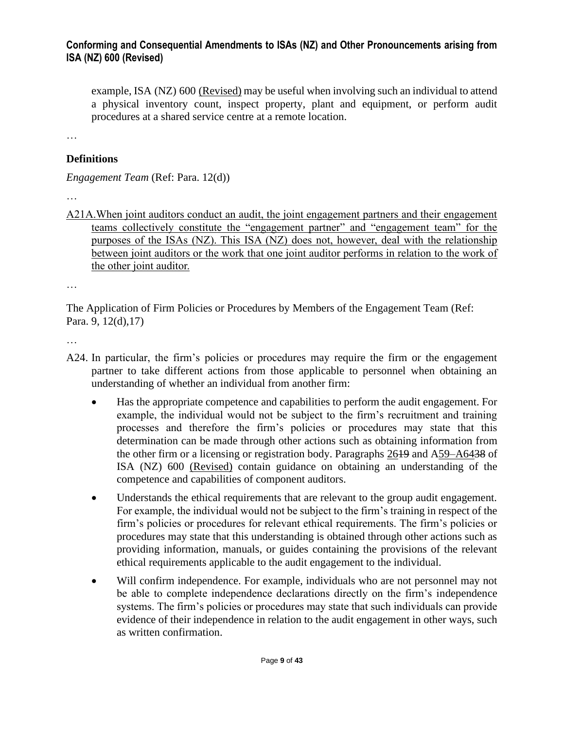example, ISA (NZ) 600 (Revised) may be useful when involving such an individual to attend a physical inventory count, inspect property, plant and equipment, or perform audit procedures at a shared service centre at a remote location.

…

### **Definitions**

*Engagement Team* (Ref: Para. 12(d))

…

A21A.When joint auditors conduct an audit, the joint engagement partners and their engagement teams collectively constitute the "engagement partner" and "engagement team" for the purposes of the ISAs (NZ). This ISA (NZ) does not, however, deal with the relationship between joint auditors or the work that one joint auditor performs in relation to the work of the other joint auditor.

…

The Application of Firm Policies or Procedures by Members of the Engagement Team (Ref: Para. 9, 12(d),17)

- A24. In particular, the firm's policies or procedures may require the firm or the engagement partner to take different actions from those applicable to personnel when obtaining an understanding of whether an individual from another firm:
	- Has the appropriate competence and capabilities to perform the audit engagement. For example, the individual would not be subject to the firm's recruitment and training processes and therefore the firm's policies or procedures may state that this determination can be made through other actions such as obtaining information from the other firm or a licensing or registration body. Paragraphs 2619 and A59–A6438 of ISA (NZ) 600 (Revised) contain guidance on obtaining an understanding of the competence and capabilities of component auditors.
	- Understands the ethical requirements that are relevant to the group audit engagement. For example, the individual would not be subject to the firm's training in respect of the firm's policies or procedures for relevant ethical requirements. The firm's policies or procedures may state that this understanding is obtained through other actions such as providing information, manuals, or guides containing the provisions of the relevant ethical requirements applicable to the audit engagement to the individual.
	- Will confirm independence. For example, individuals who are not personnel may not be able to complete independence declarations directly on the firm's independence systems. The firm's policies or procedures may state that such individuals can provide evidence of their independence in relation to the audit engagement in other ways, such as written confirmation.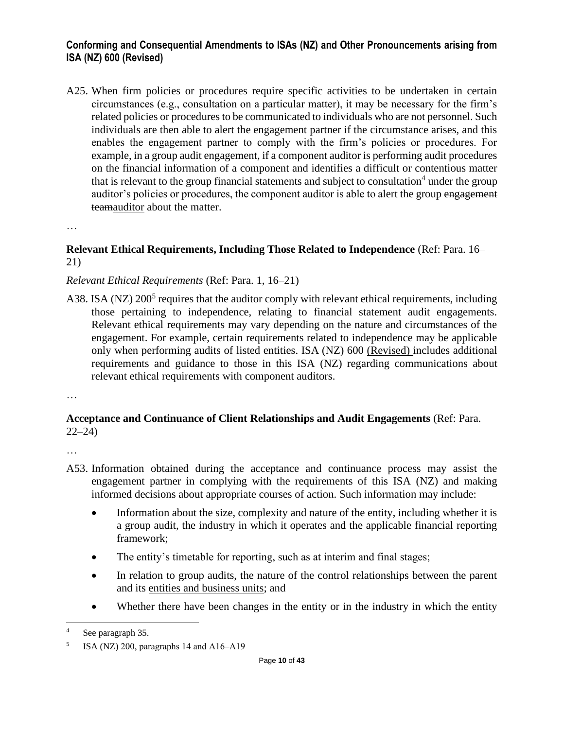A25. When firm policies or procedures require specific activities to be undertaken in certain circumstances (e.g., consultation on a particular matter), it may be necessary for the firm's related policies or procedures to be communicated to individuals who are not personnel. Such individuals are then able to alert the engagement partner if the circumstance arises, and this enables the engagement partner to comply with the firm's policies or procedures. For example, in a group audit engagement, if a component auditor is performing audit procedures on the financial information of a component and identifies a difficult or contentious matter that is relevant to the group financial statements and subject to consultation<sup>4</sup> under the group auditor's policies or procedures, the component auditor is able to alert the group engagement teamauditor about the matter.

…

#### **Relevant Ethical Requirements, Including Those Related to Independence** (Ref: Para. 16– 21)

### *Relevant Ethical Requirements* (Ref: Para. 1, 16–21)

A38. ISA (NZ)  $200^5$  requires that the auditor comply with relevant ethical requirements, including those pertaining to independence, relating to financial statement audit engagements. Relevant ethical requirements may vary depending on the nature and circumstances of the engagement. For example, certain requirements related to independence may be applicable only when performing audits of listed entities. ISA (NZ) 600 (Revised) includes additional requirements and guidance to those in this ISA (NZ) regarding communications about relevant ethical requirements with component auditors.

…

### **Acceptance and Continuance of Client Relationships and Audit Engagements** (Ref: Para. 22–24)

- A53. Information obtained during the acceptance and continuance process may assist the engagement partner in complying with the requirements of this ISA (NZ) and making informed decisions about appropriate courses of action. Such information may include:
	- Information about the size, complexity and nature of the entity, including whether it is a group audit, the industry in which it operates and the applicable financial reporting framework;
	- The entity's timetable for reporting, such as at interim and final stages;
	- In relation to group audits, the nature of the control relationships between the parent and its entities and business units; and
	- Whether there have been changes in the entity or in the industry in which the entity

<sup>4</sup> See paragraph 35.

<sup>5</sup> ISA (NZ) 200, paragraphs 14 and  $A16-A19$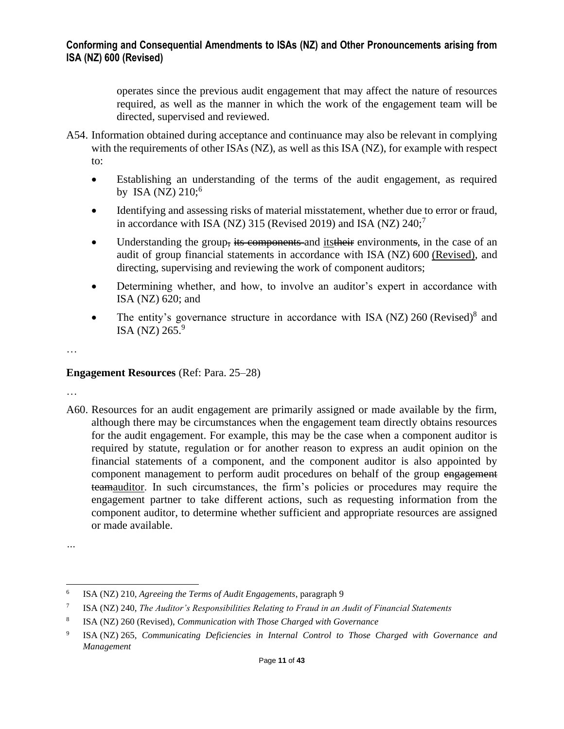operates since the previous audit engagement that may affect the nature of resources required, as well as the manner in which the work of the engagement team will be directed, supervised and reviewed.

- A54. Information obtained during acceptance and continuance may also be relevant in complying with the requirements of other ISAs (NZ), as well as this ISA (NZ), for example with respect to:
	- Establishing an understanding of the terms of the audit engagement, as required by ISA (NZ)  $210;6$
	- Identifying and assessing risks of material misstatement, whether due to error or fraud, in accordance with ISA (NZ) 315 (Revised 2019) and ISA (NZ)  $240$ ;<sup>7</sup>
	- Understanding the group, its components and its their environments, in the case of an audit of group financial statements in accordance with ISA (NZ) 600 (Revised), and directing, supervising and reviewing the work of component auditors;
	- Determining whether, and how, to involve an auditor's expert in accordance with ISA (NZ) 620; and
	- The entity's governance structure in accordance with ISA (NZ)  $260$  (Revised)<sup>8</sup> and ISA (NZ)  $265.<sup>9</sup>$

…

#### **Engagement Resources** (Ref: Para. 25–28)

…

A60. Resources for an audit engagement are primarily assigned or made available by the firm, although there may be circumstances when the engagement team directly obtains resources for the audit engagement. For example, this may be the case when a component auditor is required by statute, regulation or for another reason to express an audit opinion on the financial statements of a component, and the component auditor is also appointed by component management to perform audit procedures on behalf of the group engagement teamauditor. In such circumstances, the firm's policies or procedures may require the engagement partner to take different actions, such as requesting information from the component auditor, to determine whether sufficient and appropriate resources are assigned or made available.

*<sup>…</sup>*

<sup>6</sup> ISA (NZ) 210, *Agreeing the Terms of Audit Engagements*, paragraph 9

<sup>7</sup> ISA (NZ) 240, *The Auditor's Responsibilities Relating to Fraud in an Audit of Financial Statements*

<sup>8</sup> ISA (NZ) 260 (Revised), *Communication with Those Charged with Governance*

<sup>9</sup> ISA (NZ) 265, *Communicating Deficiencies in Internal Control to Those Charged with Governance and Management*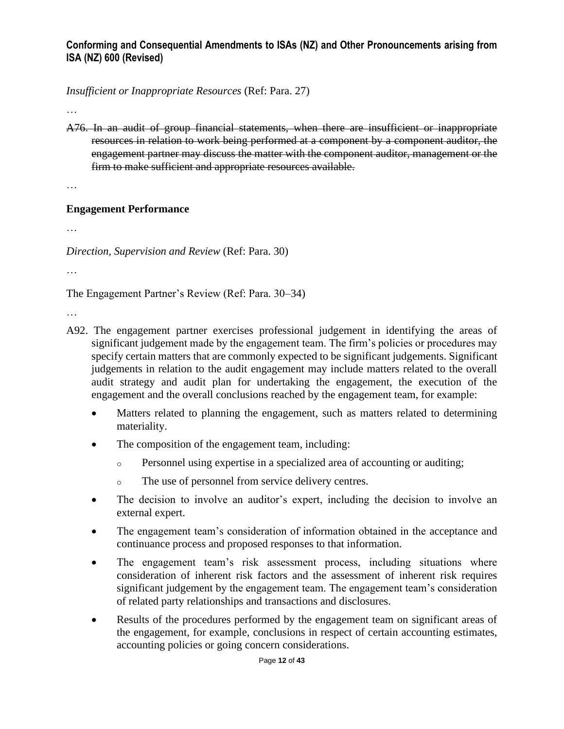*Insufficient or Inappropriate Resources* (Ref: Para. 27)

…

A76. In an audit of group financial statements, when there are insufficient or inappropriate resources in relation to work being performed at a component by a component auditor, the engagement partner may discuss the matter with the component auditor, management or the firm to make sufficient and appropriate resources available.

…

#### **Engagement Performance**

…

*Direction, Supervision and Review* (Ref: Para. 30)

…

The Engagement Partner's Review (Ref: Para. 30–34)

- A92. The engagement partner exercises professional judgement in identifying the areas of significant judgement made by the engagement team. The firm's policies or procedures may specify certain matters that are commonly expected to be significant judgements. Significant judgements in relation to the audit engagement may include matters related to the overall audit strategy and audit plan for undertaking the engagement, the execution of the engagement and the overall conclusions reached by the engagement team, for example:
	- Matters related to planning the engagement, such as matters related to determining materiality.
	- The composition of the engagement team, including:
		- $\circ$  Personnel using expertise in a specialized area of accounting or auditing;
		- o The use of personnel from service delivery centres.
	- The decision to involve an auditor's expert, including the decision to involve an external expert.
	- The engagement team's consideration of information obtained in the acceptance and continuance process and proposed responses to that information.
	- The engagement team's risk assessment process, including situations where consideration of inherent risk factors and the assessment of inherent risk requires significant judgement by the engagement team. The engagement team's consideration of related party relationships and transactions and disclosures.
	- Results of the procedures performed by the engagement team on significant areas of the engagement, for example, conclusions in respect of certain accounting estimates, accounting policies or going concern considerations.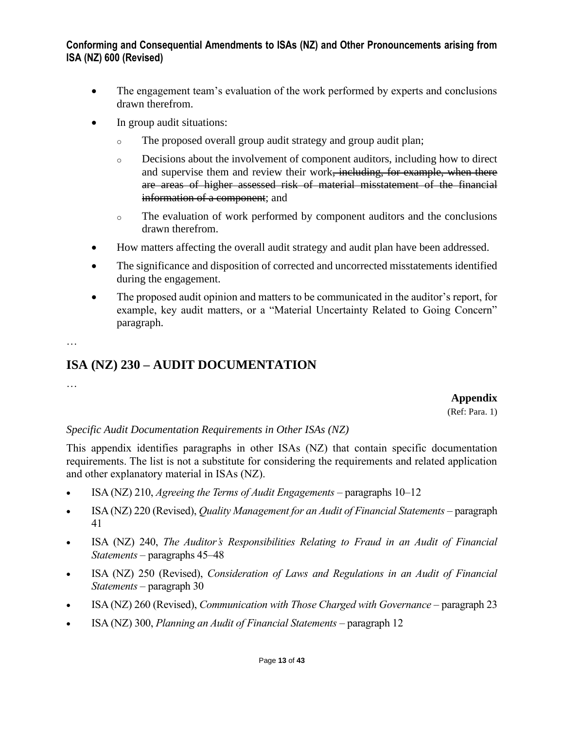- The engagement team's evaluation of the work performed by experts and conclusions drawn therefrom.
- In group audit situations:
	- o The proposed overall group audit strategy and group audit plan;
	- o Decisions about the involvement of component auditors, including how to direct and supervise them and review their work<del>, including, for example, when there</del> are areas of higher assessed risk of material misstatement of the financial information of a component; and
	- o The evaluation of work performed by component auditors and the conclusions drawn therefrom.
- How matters affecting the overall audit strategy and audit plan have been addressed.
- The significance and disposition of corrected and uncorrected misstatements identified during the engagement.
- The proposed audit opinion and matters to be communicated in the auditor's report, for example, key audit matters, or a "Material Uncertainty Related to Going Concern" paragraph.

…

# **ISA (NZ) 230 – AUDIT DOCUMENTATION**

…

#### **Appendix**

(Ref: Para. 1)

### *Specific Audit Documentation Requirements in Other ISAs (NZ)*

This appendix identifies paragraphs in other ISAs (NZ) that contain specific documentation requirements. The list is not a substitute for considering the requirements and related application and other explanatory material in ISAs (NZ).

- ISA (NZ) 210, *Agreeing the Terms of Audit Engagements* paragraphs 10–12
- ISA (NZ) 220 (Revised), *Quality Management for an Audit of Financial Statements* paragraph 41
- ISA (NZ) 240, *The Auditor's Responsibilities Relating to Fraud in an Audit of Financial Statements* – paragraphs 45–48
- ISA (NZ) 250 (Revised), *Consideration of Laws and Regulations in an Audit of Financial Statements* – paragraph 30
- ISA (NZ) 260 (Revised), *Communication with Those Charged with Governance* paragraph 23
- ISA (NZ) 300, *Planning an Audit of Financial Statements* paragraph 12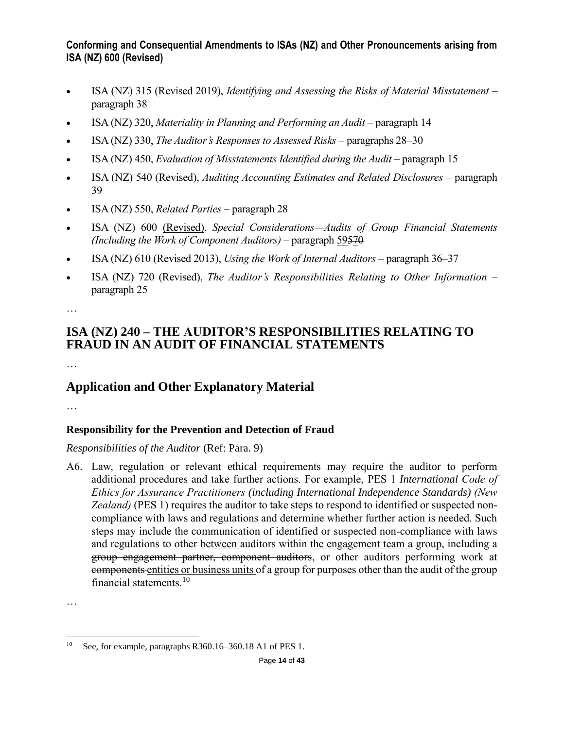- ISA (NZ) 315 (Revised 2019), *Identifying and Assessing the Risks of Material Misstatement* paragraph 38
- ISA (NZ) 320, *Materiality in Planning and Performing an Audit* paragraph 14
- ISA (NZ) 330, *The Auditor's Responses to Assessed Risks* paragraphs 28–30
- ISA (NZ) 450, *Evaluation of Misstatements Identified during the Audit* paragraph 15
- ISA (NZ) 540 (Revised), *Auditing Accounting Estimates and Related Disclosures* paragraph 39
- ISA (NZ) 550, *Related Parties* paragraph 28
- ISA (NZ) 600 (Revised), *Special Considerations—Audits of Group Financial Statements (Including the Work of Component Auditors)* – paragraph 59570
- ISA (NZ) 610 (Revised 2013), *Using the Work of Internal Auditors* paragraph 36–37
- ISA (NZ) 720 (Revised), *The Auditor's Responsibilities Relating to Other Information* paragraph 25

…

# **ISA (NZ) 240 – THE AUDITOR'S RESPONSIBILITIES RELATING TO FRAUD IN AN AUDIT OF FINANCIAL STATEMENTS**

…

# **Application and Other Explanatory Material**

…

## **Responsibility for the Prevention and Detection of Fraud**

*Responsibilities of the Auditor* (Ref: Para. 9)

A6. Law, regulation or relevant ethical requirements may require the auditor to perform additional procedures and take further actions. For example, PES 1 *International Code of Ethics for Assurance Practitioners (including International Independence Standards) (New Zealand)* (PES 1) requires the auditor to take steps to respond to identified or suspected noncompliance with laws and regulations and determine whether further action is needed. Such steps may include the communication of identified or suspected non-compliance with laws and regulations to other between auditors within the engagement team a group, including a group engagement partner, component auditors, or other auditors performing work at components entities or business units of a group for purposes other than the audit of the group financial statements.<sup>10</sup>

<sup>10</sup> See, for example, paragraphs R360.16–360.18 A1 of PES 1.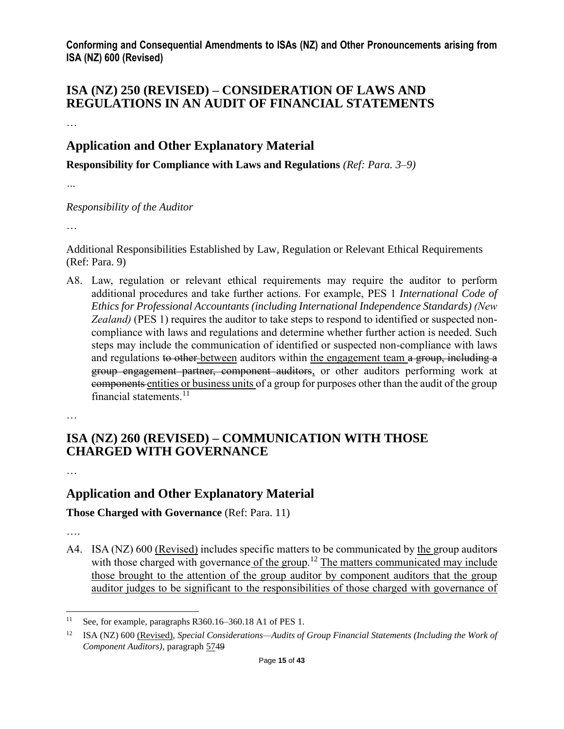## **ISA (NZ) 250 (REVISED) – CONSIDERATION OF LAWS AND REGULATIONS IN AN AUDIT OF FINANCIAL STATEMENTS**

…

# **Application and Other Explanatory Material**

**Responsibility for Compliance with Laws and Regulations** *(Ref: Para. 3–9)*

*…*

#### *Responsibility of the Auditor*

…

Additional Responsibilities Established by Law, Regulation or Relevant Ethical Requirements (Ref: Para. 9)

A8. Law, regulation or relevant ethical requirements may require the auditor to perform additional procedures and take further actions. For example, PES 1 *International Code of Ethics for Professional Accountants (including International Independence Standards) (New Zealand)* (PES 1) requires the auditor to take steps to respond to identified or suspected noncompliance with laws and regulations and determine whether further action is needed. Such steps may include the communication of identified or suspected non-compliance with laws and regulations to other between auditors within the engagement team a group, including a group engagement partner, component auditors, or other auditors performing work at components entities or business units of a group for purposes other than the audit of the group financial statements.<sup>11</sup>

…

## **ISA (NZ) 260 (REVISED) – COMMUNICATION WITH THOSE CHARGED WITH GOVERNANCE**

…

# **Application and Other Explanatory Material**

## **Those Charged with Governance** (Ref: Para. 11)

….

A4. ISA (NZ) 600 (Revised) includes specific matters to be communicated by the group auditors with those charged with governance of the group.<sup>12</sup> The matters communicated may include those brought to the attention of the group auditor by component auditors that the group auditor judges to be significant to the responsibilities of those charged with governance of

<sup>11</sup> See, for example, paragraphs R360.16–360.18 A1 of PES 1.

<sup>12</sup> ISA (NZ) 600 (Revised), *Special Considerations—Audits of Group Financial Statements (Including the Work of Component Auditors)*, paragraph 5749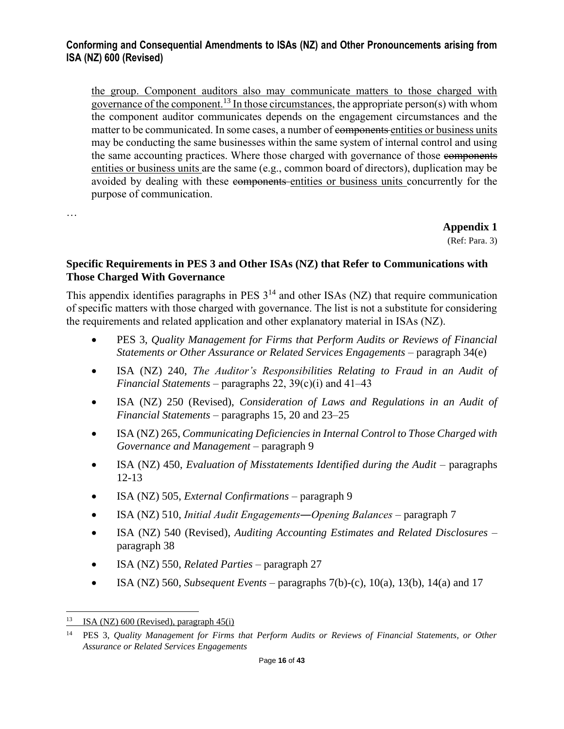the group. Component auditors also may communicate matters to those charged with governance of the component.<sup>13</sup> In those circumstances, the appropriate person(s) with whom the component auditor communicates depends on the engagement circumstances and the matter to be communicated. In some cases, a number of components entities or business units may be conducting the same businesses within the same system of internal control and using the same accounting practices. Where those charged with governance of those components entities or business units are the same (e.g., common board of directors), duplication may be avoided by dealing with these components entities or business units concurrently for the purpose of communication.

…

**Appendix 1**

(Ref: Para. 3)

#### **Specific Requirements in PES 3 and Other ISAs (NZ) that Refer to Communications with Those Charged With Governance**

This appendix identifies paragraphs in PES  $3^{14}$  and other ISAs (NZ) that require communication of specific matters with those charged with governance. The list is not a substitute for considering the requirements and related application and other explanatory material in ISAs (NZ).

- PES 3, *Quality Management for Firms that Perform Audits or Reviews of Financial Statements or Other Assurance or Related Services Engagements* – paragraph 34(e)
- ISA (NZ) 240, *The Auditor's Responsibilities Relating to Fraud in an Audit of Financial Statements* – paragraphs 22,  $39(c)(i)$  and  $41–43$
- ISA (NZ) 250 (Revised), *Consideration of Laws and Regulations in an Audit of Financial Statements* – paragraphs 15, 20 and 23–25
- ISA (NZ) 265, *Communicating Deficiencies in Internal Control to Those Charged with Governance and Management* – paragraph 9
- ISA (NZ) 450, *Evaluation of Misstatements Identified during the Audit* paragraphs 12-13
- ISA (NZ) 505, *External Confirmations* paragraph 9
- ISA (NZ) 510, *Initial Audit Engagements―Opening Balances* paragraph 7
- ISA (NZ) 540 (Revised), *Auditing Accounting Estimates and Related Disclosures* paragraph 38
- ISA (NZ) 550, *Related Parties* paragraph 27
- ISA (NZ) 560, *Subsequent Events* paragraphs 7(b)-(c), 10(a), 13(b), 14(a) and 17

<sup>&</sup>lt;sup>13</sup> ISA (NZ) 600 (Revised), paragraph  $45(i)$ 

<sup>14</sup> PES 3, *Quality Management for Firms that Perform Audits or Reviews of Financial Statements, or Other Assurance or Related Services Engagements*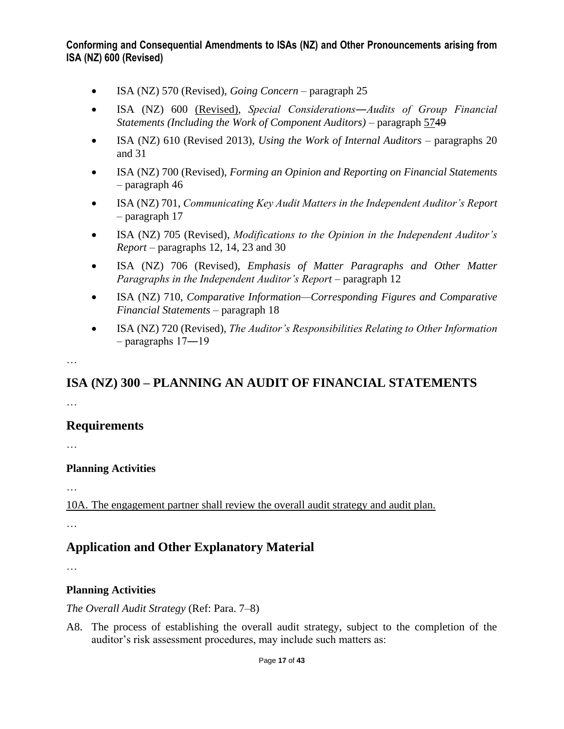- ISA (NZ) 570 (Revised), *Going Concern* paragraph 25
- ISA (NZ) 600 (Revised), *Special Considerations―Audits of Group Financial Statements (Including the Work of Component Auditors)* – paragraph 5749
- ISA (NZ) 610 (Revised 2013), *Using the Work of Internal Auditors* paragraphs 20 and 31
- ISA (NZ) 700 (Revised), *Forming an Opinion and Reporting on Financial Statements* – paragraph 46
- ISA (NZ) 701, *Communicating Key Audit Matters in the Independent Auditor's Report* – paragraph 17
- ISA (NZ) 705 (Revised), *Modifications to the Opinion in the Independent Auditor's Report* – paragraphs 12, 14, 23 and 30
- ISA (NZ) 706 (Revised), *Emphasis of Matter Paragraphs and Other Matter Paragraphs in the Independent Auditor's Report* – paragraph 12
- ISA (NZ) 710, *Comparative Information—Corresponding Figures and Comparative Financial Statements* – paragraph 18
- ISA (NZ) 720 (Revised), *The Auditor's Responsibilities Relating to Other Information* – paragraphs 17―19

…

# **ISA (NZ) 300 – PLANNING AN AUDIT OF FINANCIAL STATEMENTS**

…

### **Requirements**

…

#### **Planning Activities**

…

10A. The engagement partner shall review the overall audit strategy and audit plan.

…

## **Application and Other Explanatory Material**

…

### **Planning Activities**

*The Overall Audit Strategy* (Ref: Para. 7–8)

A8. The process of establishing the overall audit strategy, subject to the completion of the auditor's risk assessment procedures, may include such matters as: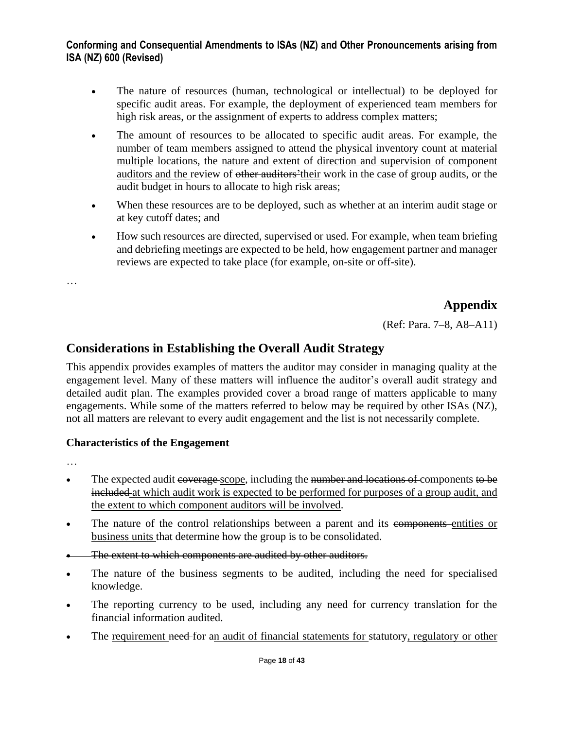- The nature of resources (human, technological or intellectual) to be deployed for specific audit areas. For example, the deployment of experienced team members for high risk areas, or the assignment of experts to address complex matters;
- The amount of resources to be allocated to specific audit areas. For example, the number of team members assigned to attend the physical inventory count at material multiple locations, the nature and extent of direction and supervision of component auditors and the review of other auditors'their work in the case of group audits, or the audit budget in hours to allocate to high risk areas;
- When these resources are to be deployed, such as whether at an interim audit stage or at key cutoff dates; and
- How such resources are directed, supervised or used. For example, when team briefing and debriefing meetings are expected to be held, how engagement partner and manager reviews are expected to take place (for example, on-site or off-site).

…

## **Appendix**

(Ref: Para. 7–8, A8–A11)

## **Considerations in Establishing the Overall Audit Strategy**

This appendix provides examples of matters the auditor may consider in managing quality at the engagement level. Many of these matters will influence the auditor's overall audit strategy and detailed audit plan. The examples provided cover a broad range of matters applicable to many engagements. While some of the matters referred to below may be required by other ISAs (NZ), not all matters are relevant to every audit engagement and the list is not necessarily complete.

#### **Characteristics of the Engagement**

- The expected audit espected and the secope, including the number and locations of components to be included at which audit work is expected to be performed for purposes of a group audit, and the extent to which component auditors will be involved.
- The nature of the control relationships between a parent and its components entities or business units that determine how the group is to be consolidated.
- The extent to which components are audited by other auditors.
- The nature of the business segments to be audited, including the need for specialised knowledge.
- The reporting currency to be used, including any need for currency translation for the financial information audited.
- The requirement need for an audit of financial statements for statutory, regulatory or other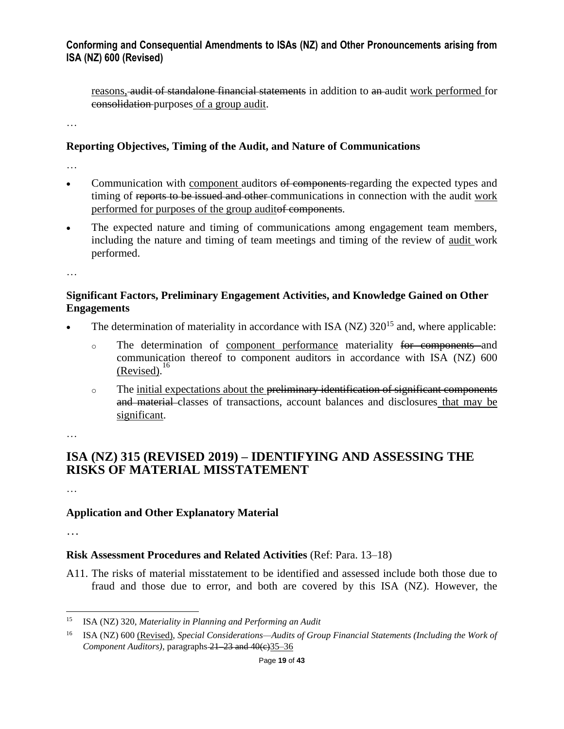reasons, audit of standalone financial statements in addition to an audit work performed for consolidation purposes of a group audit.

…

#### **Reporting Objectives, Timing of the Audit, and Nature of Communications**

…

- Communication with component auditors of components-regarding the expected types and timing of reports to be issued and other communications in connection with the audit work performed for purposes of the group auditof components.
- The expected nature and timing of communications among engagement team members, including the nature and timing of team meetings and timing of the review of audit work performed.

…

### **Significant Factors, Preliminary Engagement Activities, and Knowledge Gained on Other Engagements**

- The determination of materiality in accordance with ISA (NZ)  $320^{15}$  and, where applicable:
	- o The determination of component performance materiality for components and communication thereof to component auditors in accordance with ISA (NZ) 600 (Revised).<sup>16</sup>
	- o The initial expectations about the preliminary identification of significant components and material classes of transactions, account balances and disclosures that may be significant.

…

## **ISA (NZ) 315 (REVISED 2019) – IDENTIFYING AND ASSESSING THE RISKS OF MATERIAL MISSTATEMENT**

…

# **Application and Other Explanatory Material**

…

## **Risk Assessment Procedures and Related Activities** (Ref: Para. 13–18)

A11. The risks of material misstatement to be identified and assessed include both those due to fraud and those due to error, and both are covered by this ISA (NZ). However, the

<sup>15</sup> ISA (NZ) 320, *Materiality in Planning and Performing an Audit*

<sup>16</sup> ISA (NZ) 600 (Revised), *Special Considerations—Audits of Group Financial Statements (Including the Work of Component Auditors*), paragraphs 21–23 and 40(e) 35–36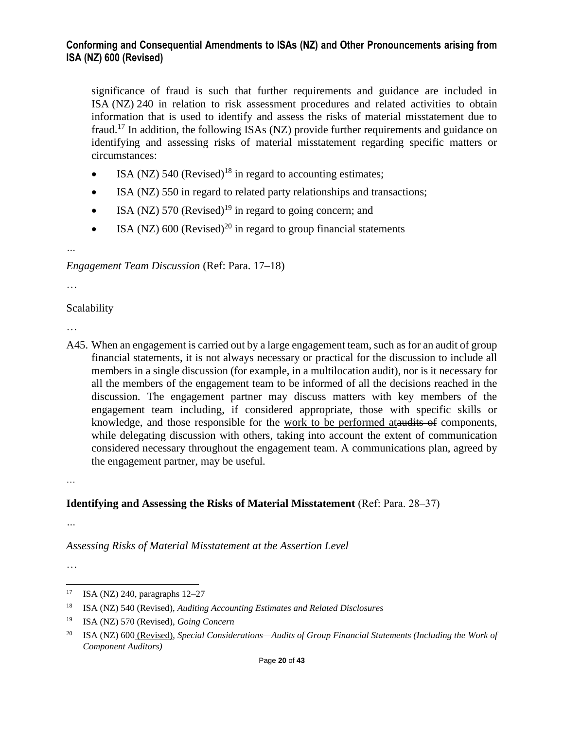significance of fraud is such that further requirements and guidance are included in ISA (NZ) 240 in relation to risk assessment procedures and related activities to obtain information that is used to identify and assess the risks of material misstatement due to fraud.<sup>17</sup> In addition, the following ISAs (NZ) provide further requirements and guidance on identifying and assessing risks of material misstatement regarding specific matters or circumstances:

- ISA (NZ) 540 (Revised)<sup>18</sup> in regard to accounting estimates;
- ISA (NZ) 550 in regard to related party relationships and transactions;
- ISA (NZ) 570 (Revised)<sup>19</sup> in regard to going concern; and
- ISA (NZ) 600 (Revised)<sup>20</sup> in regard to group financial statements

*Engagement Team Discussion* (Ref: Para. 17–18)

…

*…*

#### Scalability

…

A45. When an engagement is carried out by a large engagement team, such as for an audit of group financial statements, it is not always necessary or practical for the discussion to include all members in a single discussion (for example, in a multilocation audit), nor is it necessary for all the members of the engagement team to be informed of all the decisions reached in the discussion. The engagement partner may discuss matters with key members of the engagement team including, if considered appropriate, those with specific skills or knowledge, and those responsible for the work to be performed ataudits of components, while delegating discussion with others, taking into account the extent of communication considered necessary throughout the engagement team. A communications plan, agreed by the engagement partner, may be useful.

…

### **Identifying and Assessing the Risks of Material Misstatement** (Ref: Para. 28–37)

*…*

*Assessing Risks of Material Misstatement at the Assertion Level*

<sup>17</sup> ISA (NZ) 240, paragraphs 12–27

<sup>18</sup> ISA (NZ) 540 (Revised), *Auditing Accounting Estimates and Related Disclosures*

<sup>19</sup> ISA (NZ) 570 (Revised), *Going Concern*

<sup>20</sup> ISA (NZ) 600 (Revised), *Special Considerations—Audits of Group Financial Statements (Including the Work of Component Auditors)*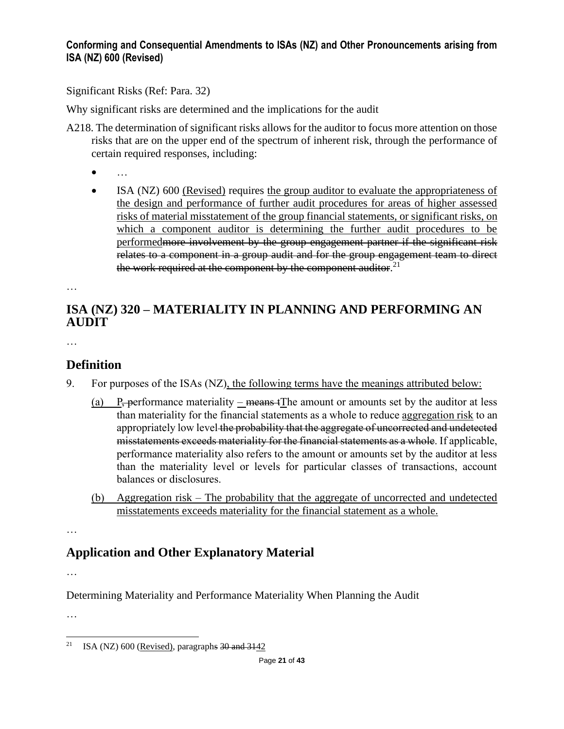Significant Risks (Ref: Para. 32)

Why significant risks are determined and the implications for the audit

- A218. The determination of significant risks allows for the auditor to focus more attention on those risks that are on the upper end of the spectrum of inherent risk, through the performance of certain required responses, including:
	- …
	- ISA (NZ) 600 (Revised) requires the group auditor to evaluate the appropriateness of the design and performance of further audit procedures for areas of higher assessed risks of material misstatement of the group financial statements, or significant risks, on which a component auditor is determining the further audit procedures to be performedmore involvement by the group engagement partner if the significant risk relates to a component in a group audit and for the group engagement team to direct the work required at the component by the component auditor.<sup>21</sup>

…

# **ISA (NZ) 320 – MATERIALITY IN PLANNING AND PERFORMING AN AUDIT**

…

# **Definition**

- 9. For purposes of the ISAs (NZ), the following terms have the meanings attributed below:
	- (a) P<sub>r</sub> performance materiality means  $\pm$  The amount or amounts set by the auditor at less than materiality for the financial statements as a whole to reduce aggregation risk to an appropriately low level the probability that the aggregate of uncorrected and undetected misstatements exceeds materiality for the financial statements as a whole. If applicable, performance materiality also refers to the amount or amounts set by the auditor at less than the materiality level or levels for particular classes of transactions, account balances or disclosures.
	- (b) Aggregation risk The probability that the aggregate of uncorrected and undetected misstatements exceeds materiality for the financial statement as a whole.

…

# **Application and Other Explanatory Material**

…

Determining Materiality and Performance Materiality When Planning the Audit

<sup>&</sup>lt;sup>21</sup> ISA (NZ) 600 (Revised), paragraphs  $30$  and  $3142$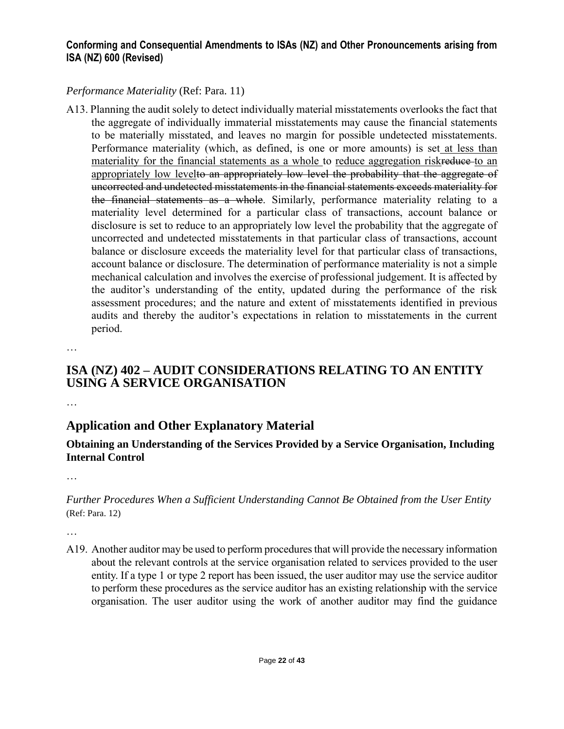### *Performance Materiality* (Ref: Para. 11)

A13. Planning the audit solely to detect individually material misstatements overlooks the fact that the aggregate of individually immaterial misstatements may cause the financial statements to be materially misstated, and leaves no margin for possible undetected misstatements. Performance materiality (which, as defined, is one or more amounts) is set at less than materiality for the financial statements as a whole to reduce aggregation riskreduce-to an appropriately low levelto an appropriately low level the probability that the aggregate of uncorrected and undetected misstatements in the financial statements exceeds materiality for the financial statements as a whole. Similarly, performance materiality relating to a materiality level determined for a particular class of transactions, account balance or disclosure is set to reduce to an appropriately low level the probability that the aggregate of uncorrected and undetected misstatements in that particular class of transactions, account balance or disclosure exceeds the materiality level for that particular class of transactions, account balance or disclosure. The determination of performance materiality is not a simple mechanical calculation and involves the exercise of professional judgement. It is affected by the auditor's understanding of the entity, updated during the performance of the risk assessment procedures; and the nature and extent of misstatements identified in previous audits and thereby the auditor's expectations in relation to misstatements in the current period.

…

## **ISA (NZ) 402 – AUDIT CONSIDERATIONS RELATING TO AN ENTITY USING A SERVICE ORGANISATION**

…

# **Application and Other Explanatory Material**

### **Obtaining an Understanding of the Services Provided by a Service Organisation, Including Internal Control**

…

### *Further Procedures When a Sufficient Understanding Cannot Be Obtained from the User Entity* (Ref: Para. 12)

…

A19. Another auditor may be used to perform procedures that will provide the necessary information about the relevant controls at the service organisation related to services provided to the user entity. If a type 1 or type 2 report has been issued, the user auditor may use the service auditor to perform these procedures as the service auditor has an existing relationship with the service organisation. The user auditor using the work of another auditor may find the guidance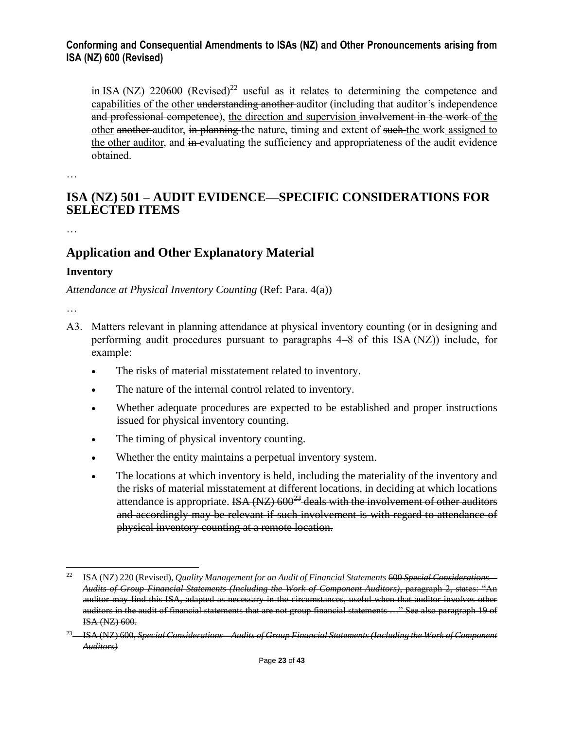in ISA (NZ)  $220600$  (Revised)<sup>22</sup> useful as it relates to determining the competence and capabilities of the other understanding another auditor (including that auditor's independence and professional competence), the direction and supervision involvement in the work of the other another auditor, in planning the nature, timing and extent of such the work assigned to the other auditor, and in-evaluating the sufficiency and appropriateness of the audit evidence obtained.

…

## **ISA (NZ) 501 – AUDIT EVIDENCE—SPECIFIC CONSIDERATIONS FOR SELECTED ITEMS**

…

# **Application and Other Explanatory Material**

#### **Inventory**

*Attendance at Physical Inventory Counting* (Ref: Para. 4(a))

- A3. Matters relevant in planning attendance at physical inventory counting (or in designing and performing audit procedures pursuant to paragraphs 4–8 of this ISA (NZ)) include, for example:
	- The risks of material misstatement related to inventory.
	- The nature of the internal control related to inventory.
	- Whether adequate procedures are expected to be established and proper instructions issued for physical inventory counting.
	- The timing of physical inventory counting.
	- Whether the entity maintains a perpetual inventory system.
	- The locations at which inventory is held, including the materiality of the inventory and the risks of material misstatement at different locations, in deciding at which locations attendance is appropriate. ISA  $(NZ)$  600<sup>23</sup> deals with the involvement of other auditors and accordingly may be relevant if such involvement is with regard to attendance of physical inventory counting at a remote location.

<sup>&</sup>lt;sup>22</sup> ISA (NZ) 220 (Revised), *Quality Management for an Audit of Financial Statements* 600 *Special Considerations*— *Audits of Group Financial Statements (Including the Work of Component Auditors)*, paragraph 2, states: "An auditor may find this ISA, adapted as necessary in the circumstances, useful when that auditor involves other auditors in the audit of financial statements that are not group financial statements …" See also paragraph 19 of ISA (NZ) 600.

<sup>&</sup>lt;sup>23</sup> ISA (NZ) 600, *Special Considerations—Audits of Group Financial Statements (Including the Work of Component Auditors)*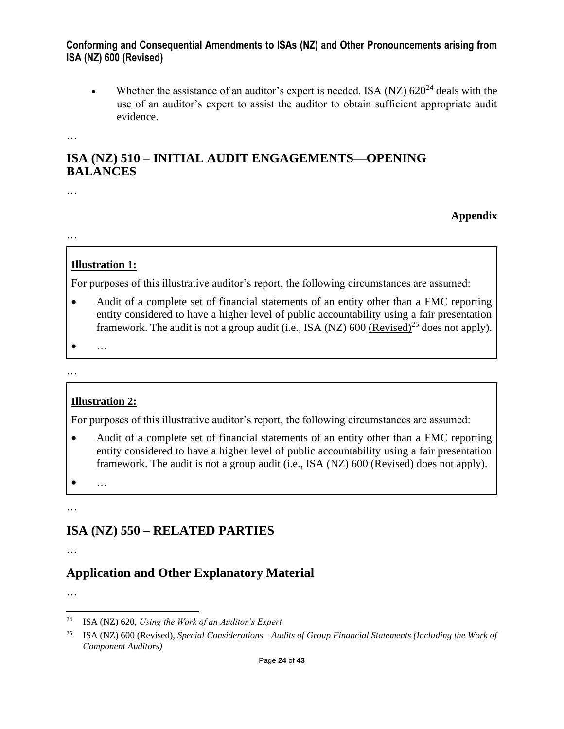• Whether the assistance of an auditor's expert is needed. ISA (NZ)  $620^{24}$  deals with the use of an auditor's expert to assist the auditor to obtain sufficient appropriate audit evidence.

**Appendix**

…

## **ISA (NZ) 510 – INITIAL AUDIT ENGAGEMENTS—OPENING BALANCES**

…

…

## **Illustration 1:**

For purposes of this illustrative auditor's report, the following circumstances are assumed:

- Audit of a complete set of financial statements of an entity other than a FMC reporting entity considered to have a higher level of public accountability using a fair presentation framework. The audit is not a group audit (i.e., ISA (NZ) 600 (Revised)<sup>25</sup> does not apply).
- …

#### …

## **Illustration 2:**

For purposes of this illustrative auditor's report, the following circumstances are assumed:

• Audit of a complete set of financial statements of an entity other than a FMC reporting entity considered to have a higher level of public accountability using a fair presentation framework. The audit is not a group audit (i.e., ISA (NZ) 600 (Revised) does not apply).

• …

…

# **ISA (NZ) 550 – RELATED PARTIES**

…

# **Application and Other Explanatory Material**

<sup>24</sup> ISA (NZ) 620, *Using the Work of an Auditor's Expert*

<sup>25</sup> ISA (NZ) 600 (Revised), *Special Considerations—Audits of Group Financial Statements (Including the Work of Component Auditors)*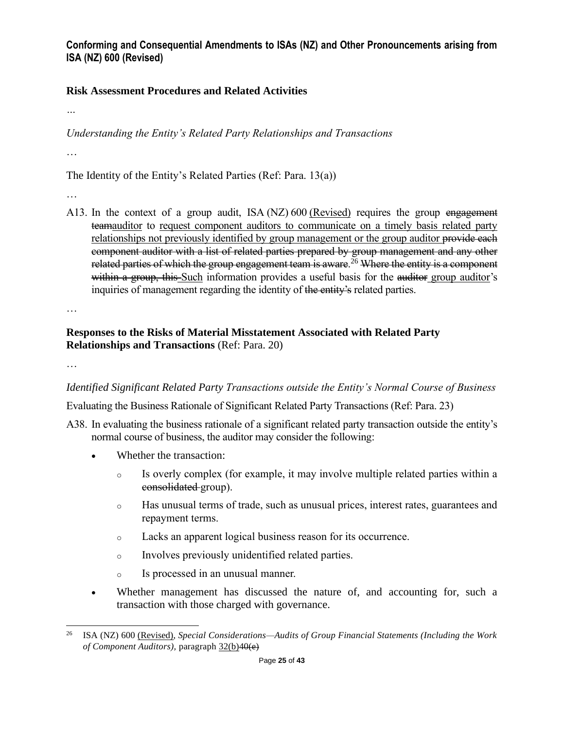### **Risk Assessment Procedures and Related Activities**

*…*

*Understanding the Entity's Related Party Relationships and Transactions*

…

The Identity of the Entity's Related Parties (Ref: Para. 13(a))

…

A13. In the context of a group audit, ISA (NZ) 600 (Revised) requires the group engagement teamauditor to request component auditors to communicate on a timely basis related party relationships not previously identified by group management or the group auditor provide each component auditor with a list of related parties prepared by group management and any other related parties of which the group engagement team is aware.<sup>26</sup> Where the entity is a component within a group, this Such information provides a useful basis for the auditor group auditor's inquiries of management regarding the identity of the entity's related parties.

…

### **Responses to the Risks of Material Misstatement Associated with Related Party Relationships and Transactions** (Ref: Para. 20)

…

*Identified Significant Related Party Transactions outside the Entity's Normal Course of Business*

Evaluating the Business Rationale of Significant Related Party Transactions (Ref: Para. 23)

- A38. In evaluating the business rationale of a significant related party transaction outside the entity's normal course of business, the auditor may consider the following:
	- Whether the transaction:
		- o Is overly complex (for example, it may involve multiple related parties within a consolidated group).
		- o Has unusual terms of trade, such as unusual prices, interest rates, guarantees and repayment terms.
		- o Lacks an apparent logical business reason for its occurrence.
		- o Involves previously unidentified related parties.
		- o Is processed in an unusual manner.
	- Whether management has discussed the nature of, and accounting for, such a transaction with those charged with governance.

<sup>26</sup> ISA (NZ) 600 (Revised), *Special Considerations—Audits of Group Financial Statements (Including the Work of Component Auditors),* paragraph 32(b)40(e)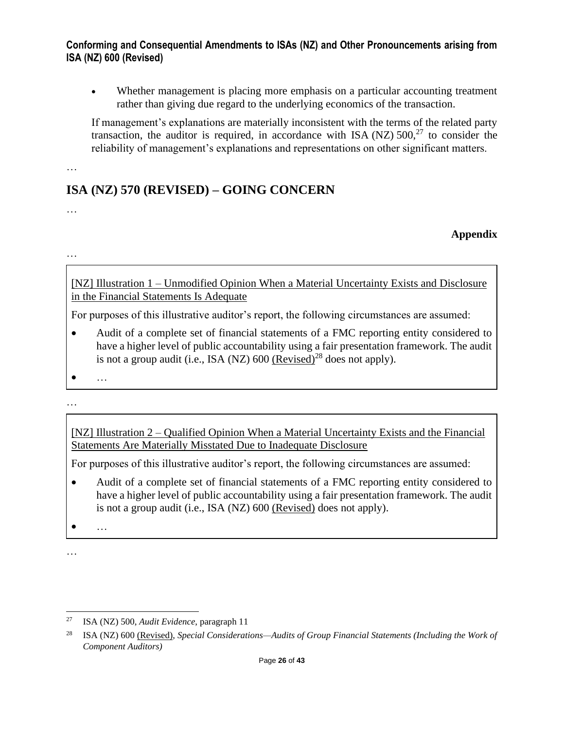• Whether management is placing more emphasis on a particular accounting treatment rather than giving due regard to the underlying economics of the transaction.

If management's explanations are materially inconsistent with the terms of the related party transaction, the auditor is required, in accordance with ISA (NZ)  $500<sup>27</sup>$  to consider the reliability of management's explanations and representations on other significant matters.

…

# **ISA (NZ) 570 (REVISED) – GOING CONCERN**

…

**Appendix**

…

[NZ] Illustration 1 – Unmodified Opinion When a Material Uncertainty Exists and Disclosure in the Financial Statements Is Adequate

For purposes of this illustrative auditor's report, the following circumstances are assumed:

- Audit of a complete set of financial statements of a FMC reporting entity considered to have a higher level of public accountability using a fair presentation framework. The audit is not a group audit (i.e., ISA (NZ)  $600$  (Revised)<sup>28</sup> does not apply).
- 

• …

…

[NZ] Illustration 2 – Qualified Opinion When a Material Uncertainty Exists and the Financial Statements Are Materially Misstated Due to Inadequate Disclosure

For purposes of this illustrative auditor's report, the following circumstances are assumed:

• Audit of a complete set of financial statements of a FMC reporting entity considered to have a higher level of public accountability using a fair presentation framework. The audit is not a group audit (i.e., ISA (NZ) 600 (Revised) does not apply).

• …

<sup>27</sup> ISA (NZ) 500, *Audit Evidence*, paragraph 11

<sup>28</sup> ISA (NZ) 600 (Revised), *Special Considerations—Audits of Group Financial Statements (Including the Work of Component Auditors)*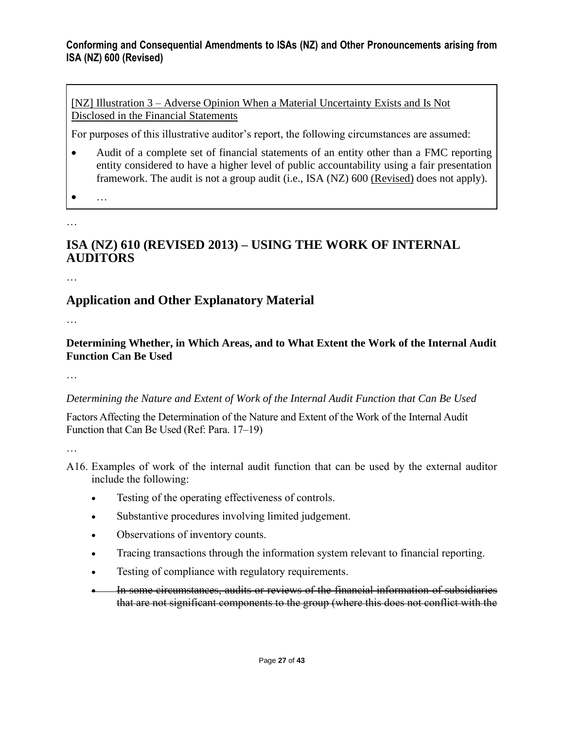[NZ] Illustration 3 – Adverse Opinion When a Material Uncertainty Exists and Is Not Disclosed in the Financial Statements

For purposes of this illustrative auditor's report, the following circumstances are assumed:

- Audit of a complete set of financial statements of an entity other than a FMC reporting entity considered to have a higher level of public accountability using a fair presentation framework. The audit is not a group audit (i.e., ISA (NZ) 600 (Revised) does not apply).
- 

• …

…

# **ISA (NZ) 610 (REVISED 2013) – USING THE WORK OF INTERNAL AUDITORS**

…

# **Application and Other Explanatory Material**

…

### **Determining Whether, in Which Areas, and to What Extent the Work of the Internal Audit Function Can Be Used**

…

### *Determining the Nature and Extent of Work of the Internal Audit Function that Can Be Used*

Factors Affecting the Determination of the Nature and Extent of the Work of the Internal Audit Function that Can Be Used (Ref: Para. 17–19)

- A16. Examples of work of the internal audit function that can be used by the external auditor include the following:
	- Testing of the operating effectiveness of controls.
	- Substantive procedures involving limited judgement.
	- Observations of inventory counts.
	- Tracing transactions through the information system relevant to financial reporting.
	- Testing of compliance with regulatory requirements.
	- In some circumstances, audits or reviews of the financial information of subsidiaries that are not significant components to the group (where this does not conflict with the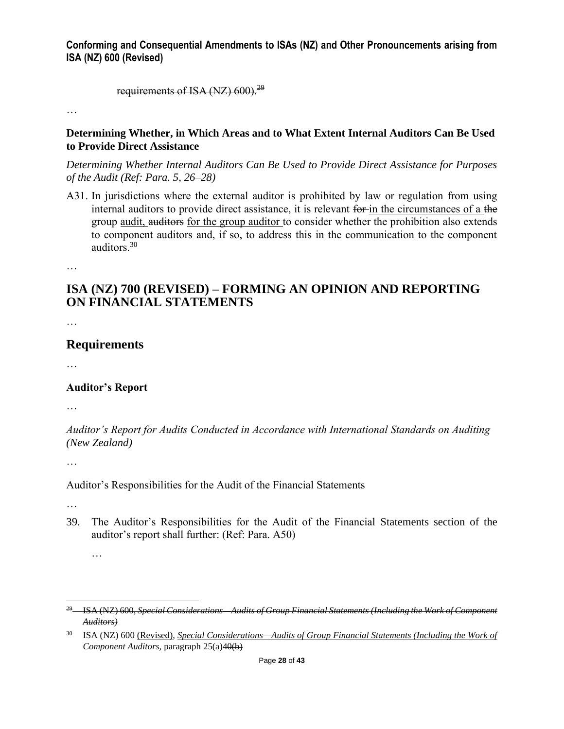requirements of ISA (NZ)  $600$ ).<sup>29</sup>

…

#### **Determining Whether, in Which Areas and to What Extent Internal Auditors Can Be Used to Provide Direct Assistance**

*Determining Whether Internal Auditors Can Be Used to Provide Direct Assistance for Purposes of the Audit (Ref: Para. 5, 26–28)*

A31. In jurisdictions where the external auditor is prohibited by law or regulation from using internal auditors to provide direct assistance, it is relevant for in the circumstances of a the group audit, auditors for the group auditor to consider whether the prohibition also extends to component auditors and, if so, to address this in the communication to the component auditors.<sup>30</sup>

…

## **ISA (NZ) 700 (REVISED) – FORMING AN OPINION AND REPORTING ON FINANCIAL STATEMENTS**

…

### **Requirements**

…

#### **Auditor's Report**

…

*Auditor's Report for Audits Conducted in Accordance with International Standards on Auditing (New Zealand)*

…

Auditor's Responsibilities for the Audit of the Financial Statements

…

…

39. The Auditor's Responsibilities for the Audit of the Financial Statements section of the auditor's report shall further: (Ref: Para. A50)

<sup>29</sup> ISA (NZ) 600, *Special Considerations—Audits of Group Financial Statements (Including the Work of Component Auditors)*

<sup>30</sup> ISA (NZ) 600 (Revised), *Special Considerations—Audits of Group Financial Statements (Including the Work of Component Auditors,* paragraph 25(a)40(b)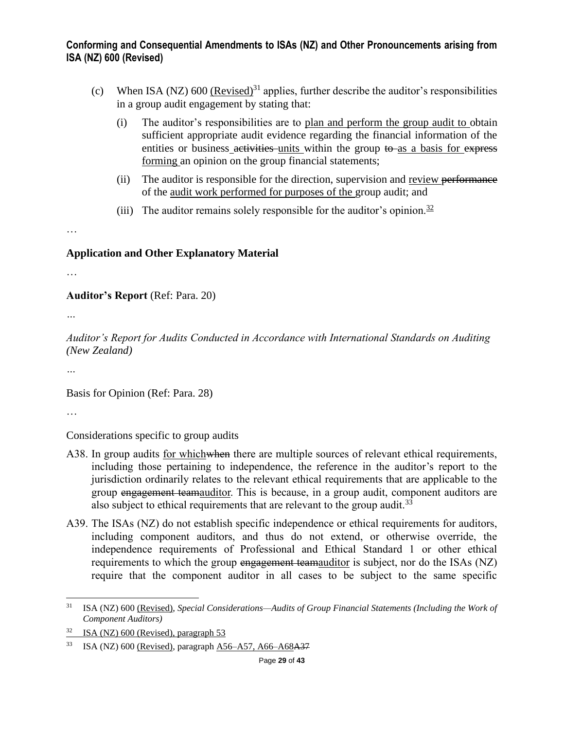- (c) When ISA (NZ)  $600$  (Revised)<sup>31</sup> applies, further describe the auditor's responsibilities in a group audit engagement by stating that:
	- (i) The auditor's responsibilities are to plan and perform the group audit to obtain sufficient appropriate audit evidence regarding the financial information of the entities or business activities units within the group to as a basis for express forming an opinion on the group financial statements;
	- (ii) The auditor is responsible for the direction, supervision and review performance of the audit work performed for purposes of the group audit; and
	- (iii) The auditor remains solely responsible for the auditor's opinion.<sup>32</sup>

…

#### **Application and Other Explanatory Material**

…

**Auditor's Report** (Ref: Para. 20)

*…*

*Auditor's Report for Audits Conducted in Accordance with International Standards on Auditing (New Zealand)*

*…*

Basis for Opinion (Ref: Para. 28)

…

Considerations specific to group audits

- A38. In group audits for which when there are multiple sources of relevant ethical requirements, including those pertaining to independence, the reference in the auditor's report to the jurisdiction ordinarily relates to the relevant ethical requirements that are applicable to the group engagement teamauditor. This is because, in a group audit, component auditors are also subject to ethical requirements that are relevant to the group audit.<sup>33</sup>
- A39. The ISAs (NZ) do not establish specific independence or ethical requirements for auditors, including component auditors, and thus do not extend, or otherwise override, the independence requirements of Professional and Ethical Standard 1 or other ethical requirements to which the group engagement teamauditor is subject, nor do the ISAs (NZ) require that the component auditor in all cases to be subject to the same specific

<sup>31</sup> ISA (NZ) 600 (Revised), *Special Considerations—Audits of Group Financial Statements (Including the Work of Component Auditors)*

ISA (NZ) 600 (Revised), paragraph 53

<sup>33</sup> ISA (NZ) 600 (Revised), paragraph A56–A57, A66–A68A37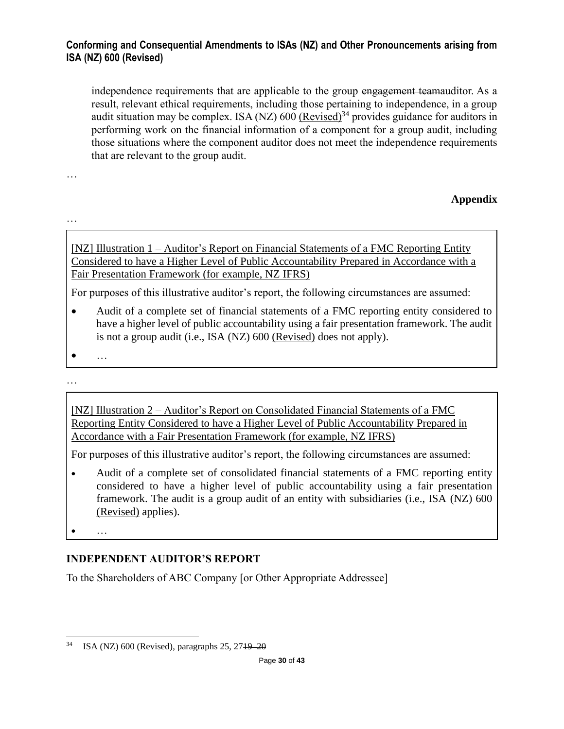independence requirements that are applicable to the group engagement teamauditor. As a result, relevant ethical requirements, including those pertaining to independence, in a group audit situation may be complex. ISA (NZ)  $600$  (Revised)<sup>34</sup> provides guidance for auditors in performing work on the financial information of a component for a group audit, including those situations where the component auditor does not meet the independence requirements that are relevant to the group audit.

**Appendix**

…

…

[NZ] Illustration 1 – Auditor's Report on Financial Statements of a FMC Reporting Entity Considered to have a Higher Level of Public Accountability Prepared in Accordance with a Fair Presentation Framework (for example, NZ IFRS)

For purposes of this illustrative auditor's report, the following circumstances are assumed:

• Audit of a complete set of financial statements of a FMC reporting entity considered to have a higher level of public accountability using a fair presentation framework. The audit is not a group audit (i.e., ISA (NZ) 600 (Revised) does not apply).

• …

…

[NZ] Illustration 2 – Auditor's Report on Consolidated Financial Statements of a FMC Reporting Entity Considered to have a Higher Level of Public Accountability Prepared in Accordance with a Fair Presentation Framework (for example, NZ IFRS)

For purposes of this illustrative auditor's report, the following circumstances are assumed:

- Audit of a complete set of consolidated financial statements of a FMC reporting entity considered to have a higher level of public accountability using a fair presentation framework. The audit is a group audit of an entity with subsidiaries (i.e., ISA (NZ) 600 (Revised) applies).
- 

• …

## **INDEPENDENT AUDITOR'S REPORT**

To the Shareholders of ABC Company [or Other Appropriate Addressee]

<sup>34</sup> ISA (NZ) 600 (Revised), paragraphs 25, 2719–20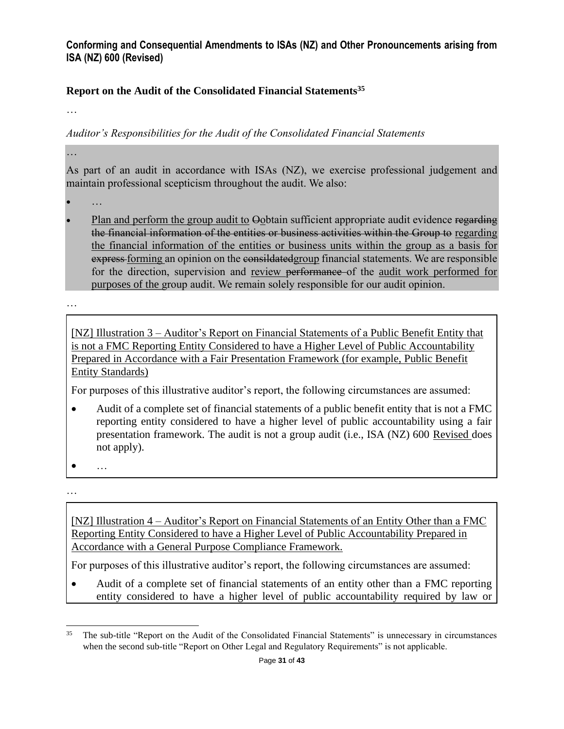### **Report on the Audit of the Consolidated Financial Statements<sup>35</sup>**

…

#### *Auditor's Responsibilities for the Audit of the Consolidated Financial Statements*

…

As part of an audit in accordance with ISAs (NZ), we exercise professional judgement and maintain professional scepticism throughout the audit. We also:

- …
- Plan and perform the group audit to Oobtain sufficient appropriate audit evidence regarding the financial information of the entities or business activities within the Group to regarding the financial information of the entities or business units within the group as a basis for express-forming an opinion on the consilected group financial statements. We are responsible for the direction, supervision and review performance of the audit work performed for purposes of the group audit. We remain solely responsible for our audit opinion.

…

[NZ] Illustration 3 – Auditor's Report on Financial Statements of a Public Benefit Entity that is not a FMC Reporting Entity Considered to have a Higher Level of Public Accountability Prepared in Accordance with a Fair Presentation Framework (for example, Public Benefit Entity Standards)

For purposes of this illustrative auditor's report, the following circumstances are assumed:

- Audit of a complete set of financial statements of a public benefit entity that is not a FMC reporting entity considered to have a higher level of public accountability using a fair presentation framework. The audit is not a group audit (i.e., ISA (NZ) 600 Revised does not apply).
- …

…

[NZ] Illustration 4 – Auditor's Report on Financial Statements of an Entity Other than a FMC Reporting Entity Considered to have a Higher Level of Public Accountability Prepared in Accordance with a General Purpose Compliance Framework.

For purposes of this illustrative auditor's report, the following circumstances are assumed:

• Audit of a complete set of financial statements of an entity other than a FMC reporting entity considered to have a higher level of public accountability required by law or

<sup>&</sup>lt;sup>35</sup> The sub-title "Report on the Audit of the Consolidated Financial Statements" is unnecessary in circumstances when the second sub-title "Report on Other Legal and Regulatory Requirements" is not applicable.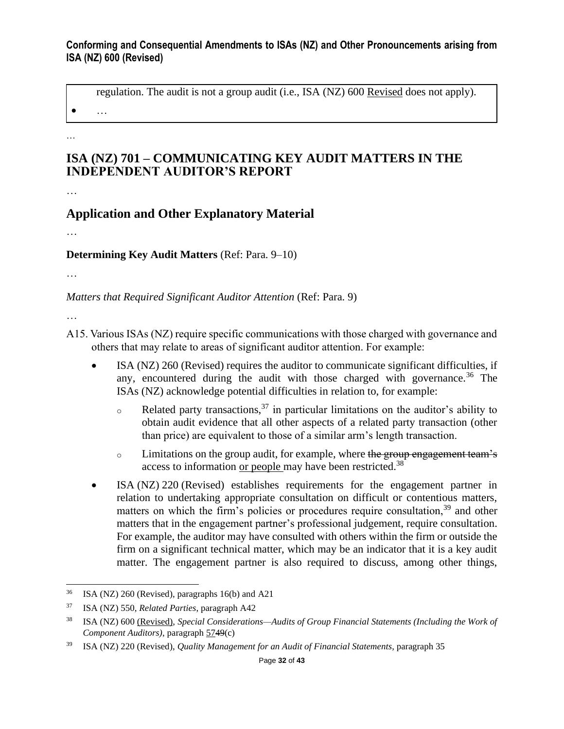regulation. The audit is not a group audit (i.e., ISA (NZ) 600 Revised does not apply).

 $\bullet$  …

…

## **ISA (NZ) 701 – COMMUNICATING KEY AUDIT MATTERS IN THE INDEPENDENT AUDITOR'S REPORT**

…

## **Application and Other Explanatory Material**

…

### **Determining Key Audit Matters** (Ref: Para. 9–10)

…

*Matters that Required Significant Auditor Attention* (Ref: Para. 9)

- A15. Various ISAs (NZ) require specific communications with those charged with governance and others that may relate to areas of significant auditor attention. For example:
	- ISA (NZ) 260 (Revised) requires the auditor to communicate significant difficulties, if any, encountered during the audit with those charged with governance.<sup>36</sup> The ISAs (NZ) acknowledge potential difficulties in relation to, for example:
		- $\circ$  Related party transactions,<sup>37</sup> in particular limitations on the auditor's ability to obtain audit evidence that all other aspects of a related party transaction (other than price) are equivalent to those of a similar arm's length transaction.
		- o Limitations on the group audit, for example, where the group engagement team's access to information or people may have been restricted.<sup>38</sup>
	- ISA (NZ) 220 (Revised) establishes requirements for the engagement partner in relation to undertaking appropriate consultation on difficult or contentious matters, matters on which the firm's policies or procedures require consultation,<sup>39</sup> and other matters that in the engagement partner's professional judgement, require consultation. For example, the auditor may have consulted with others within the firm or outside the firm on a significant technical matter, which may be an indicator that it is a key audit matter. The engagement partner is also required to discuss, among other things,

 $36$  ISA (NZ) 260 (Revised), paragraphs 16(b) and A21

<sup>37</sup> ISA (NZ) 550, *Related Parties*, paragraph A42

<sup>38</sup> ISA (NZ) 600 (Revised), *Special Considerations—Audits of Group Financial Statements (Including the Work of Component Auditors)*, paragraph 5749(c)

<sup>39</sup> ISA (NZ) 220 (Revised), *Quality Management for an Audit of Financial Statements*, paragraph 35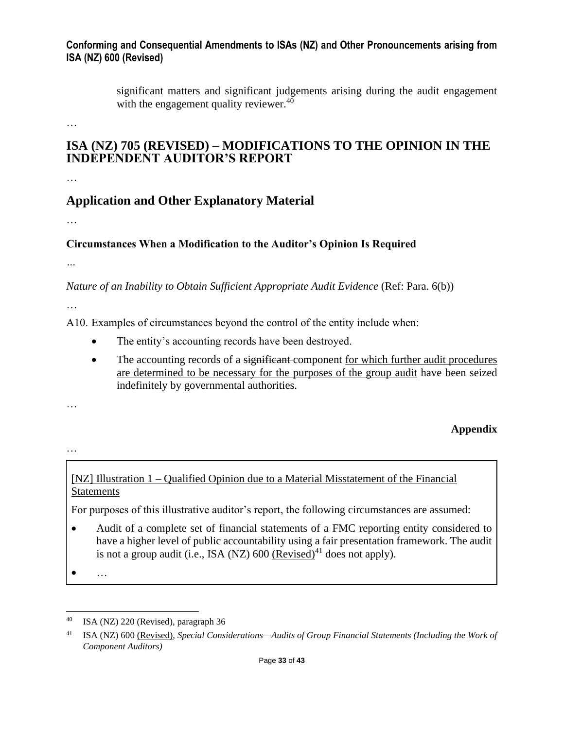significant matters and significant judgements arising during the audit engagement with the engagement quality reviewer.<sup>40</sup>

…

## **ISA (NZ) 705 (REVISED) – MODIFICATIONS TO THE OPINION IN THE INDEPENDENT AUDITOR'S REPORT**

…

## **Application and Other Explanatory Material**

…

### **Circumstances When a Modification to the Auditor's Opinion Is Required**

*…*

*Nature of an Inability to Obtain Sufficient Appropriate Audit Evidence* (Ref: Para. 6(b))

…

A10. Examples of circumstances beyond the control of the entity include when:

- The entity's accounting records have been destroyed.
- The accounting records of a significant-component for which further audit procedures are determined to be necessary for the purposes of the group audit have been seized indefinitely by governmental authorities.

**Appendix** 

…

…

## [NZ] Illustration 1 – Qualified Opinion due to a Material Misstatement of the Financial **Statements**

For purposes of this illustrative auditor's report, the following circumstances are assumed:

- Audit of a complete set of financial statements of a FMC reporting entity considered to have a higher level of public accountability using a fair presentation framework. The audit is not a group audit (i.e., ISA (NZ)  $600$  (Revised)<sup>41</sup> does not apply).
- …

ISA (NZ) 220 (Revised), paragraph 36

<sup>41</sup> ISA (NZ) 600 (Revised), *Special Considerations—Audits of Group Financial Statements (Including the Work of Component Auditors)*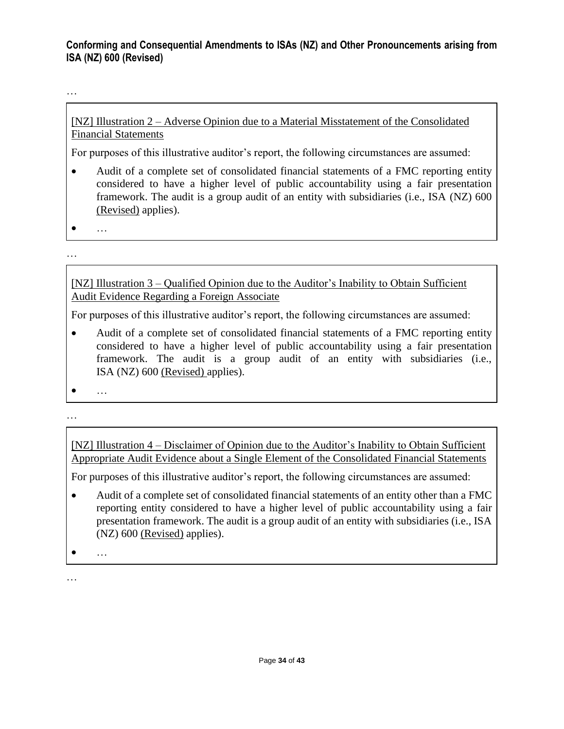…

[NZ] Illustration 2 – Adverse Opinion due to a Material Misstatement of the Consolidated Financial Statements

For purposes of this illustrative auditor's report, the following circumstances are assumed:

- Audit of a complete set of consolidated financial statements of a FMC reporting entity considered to have a higher level of public accountability using a fair presentation framework. The audit is a group audit of an entity with subsidiaries (i.e., ISA (NZ) 600 (Revised) applies).
- $\bullet$   $\dots$

…

[NZ] Illustration 3 – Qualified Opinion due to the Auditor's Inability to Obtain Sufficient Audit Evidence Regarding a Foreign Associate

For purposes of this illustrative auditor's report, the following circumstances are assumed:

• Audit of a complete set of consolidated financial statements of a FMC reporting entity considered to have a higher level of public accountability using a fair presentation framework. The audit is a group audit of an entity with subsidiaries (i.e., ISA (NZ) 600 (Revised) applies).

• …

…

[NZ] Illustration 4 – Disclaimer of Opinion due to the Auditor's Inability to Obtain Sufficient Appropriate Audit Evidence about a Single Element of the Consolidated Financial Statements

For purposes of this illustrative auditor's report, the following circumstances are assumed:

• Audit of a complete set of consolidated financial statements of an entity other than a FMC reporting entity considered to have a higher level of public accountability using a fair presentation framework. The audit is a group audit of an entity with subsidiaries (i.e., ISA (NZ) 600 (Revised) applies).

• …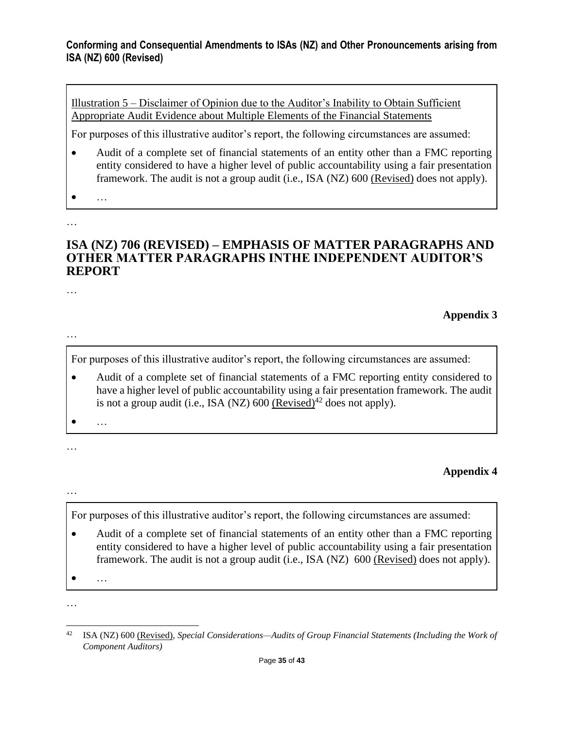Illustration 5 – Disclaimer of Opinion due to the Auditor's Inability to Obtain Sufficient Appropriate Audit Evidence about Multiple Elements of the Financial Statements

For purposes of this illustrative auditor's report, the following circumstances are assumed:

- Audit of a complete set of financial statements of an entity other than a FMC reporting entity considered to have a higher level of public accountability using a fair presentation framework. The audit is not a group audit (i.e., ISA (NZ) 600 (Revised) does not apply).
- 

• …

…

### **ISA (NZ) 706 (REVISED) – EMPHASIS OF MATTER PARAGRAPHS AND OTHER MATTER PARAGRAPHS INTHE INDEPENDENT AUDITOR'S REPORT**

…

### **Appendix 3**

…

For purposes of this illustrative auditor's report, the following circumstances are assumed:

- Audit of a complete set of financial statements of a FMC reporting entity considered to have a higher level of public accountability using a fair presentation framework. The audit is not a group audit (i.e., ISA (NZ)  $600$  (Revised)<sup>42</sup> does not apply).
- 

• …

…

## **Appendix 4**

…

For purposes of this illustrative auditor's report, the following circumstances are assumed:

• Audit of a complete set of financial statements of an entity other than a FMC reporting entity considered to have a higher level of public accountability using a fair presentation framework. The audit is not a group audit (i.e., ISA (NZ) 600 (Revised) does not apply).

• …

<sup>…</sup>

<sup>42</sup> ISA (NZ) 600 (Revised), *Special Considerations—Audits of Group Financial Statements (Including the Work of Component Auditors)*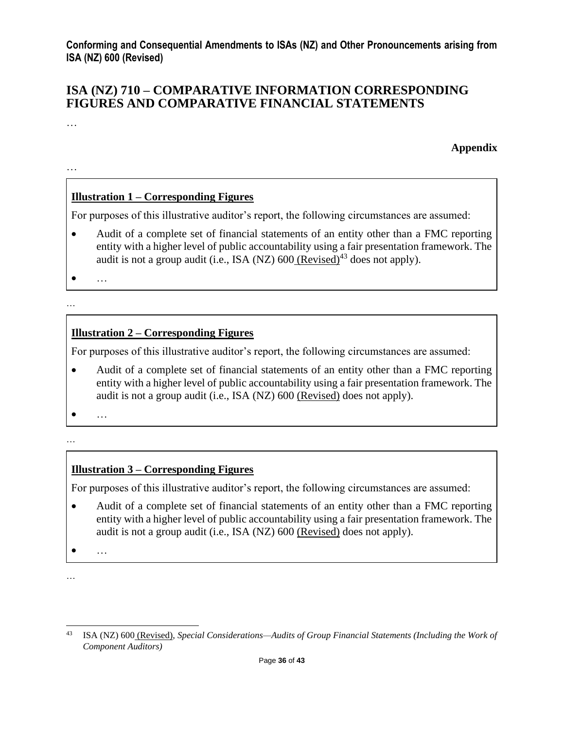## **ISA (NZ) 710 – COMPARATIVE INFORMATION CORRESPONDING FIGURES AND COMPARATIVE FINANCIAL STATEMENTS**

…

**Appendix**

…

## **Illustration 1 – Corresponding Figures**

For purposes of this illustrative auditor's report, the following circumstances are assumed:

• Audit of a complete set of financial statements of an entity other than a FMC reporting entity with a higher level of public accountability using a fair presentation framework. The audit is not a group audit (i.e., ISA (NZ)  $600$  (Revised)<sup>43</sup> does not apply).

• …

…

### **Illustration 2 – Corresponding Figures**

For purposes of this illustrative auditor's report, the following circumstances are assumed:

• Audit of a complete set of financial statements of an entity other than a FMC reporting entity with a higher level of public accountability using a fair presentation framework. The audit is not a group audit (i.e., ISA (NZ) 600 (Revised) does not apply).

 $\bullet$  …

#### …

## **Illustration 3 – Corresponding Figures**

For purposes of this illustrative auditor's report, the following circumstances are assumed:

• Audit of a complete set of financial statements of an entity other than a FMC reporting entity with a higher level of public accountability using a fair presentation framework. The audit is not a group audit (i.e., ISA (NZ) 600 (Revised) does not apply).

 $\bullet$   $\dots$ 

<sup>…</sup>

<sup>43</sup> ISA (NZ) 600 (Revised), *Special Considerations—Audits of Group Financial Statements (Including the Work of Component Auditors)*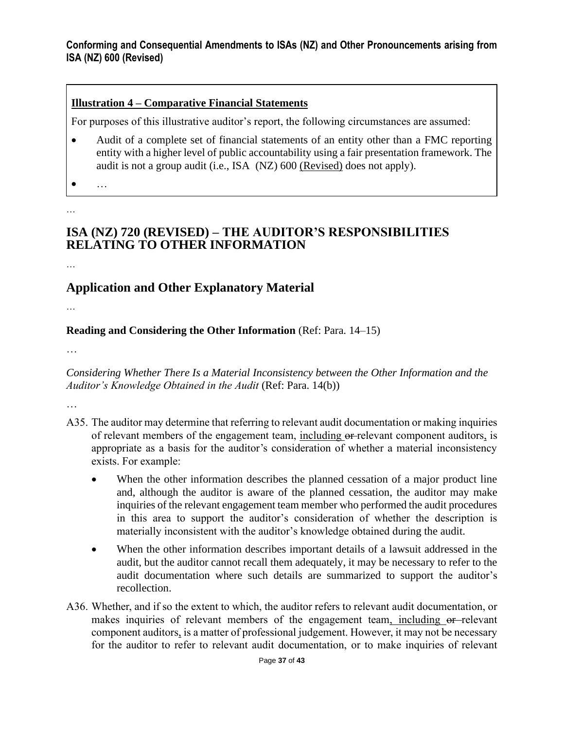### **Illustration 4 – Comparative Financial Statements**

For purposes of this illustrative auditor's report, the following circumstances are assumed:

- Audit of a complete set of financial statements of an entity other than a FMC reporting entity with a higher level of public accountability using a fair presentation framework. The audit is not a group audit (i.e., ISA (NZ) 600 (Revised) does not apply).
- …

…

# **ISA (NZ) 720 (REVISED) – THE AUDITOR'S RESPONSIBILITIES RELATING TO OTHER INFORMATION**

…

# **Application and Other Explanatory Material**

…

**Reading and Considering the Other Information** (Ref: Para. 14–15)

…

*Considering Whether There Is a Material Inconsistency between the Other Information and the Auditor's Knowledge Obtained in the Audit* (Ref: Para. 14(b))

- A35. The auditor may determine that referring to relevant audit documentation or making inquiries of relevant members of the engagement team, including or relevant component auditors, is appropriate as a basis for the auditor's consideration of whether a material inconsistency exists. For example:
	- When the other information describes the planned cessation of a major product line and, although the auditor is aware of the planned cessation, the auditor may make inquiries of the relevant engagement team member who performed the audit procedures in this area to support the auditor's consideration of whether the description is materially inconsistent with the auditor's knowledge obtained during the audit.
	- When the other information describes important details of a lawsuit addressed in the audit, but the auditor cannot recall them adequately, it may be necessary to refer to the audit documentation where such details are summarized to support the auditor's recollection.
- A36. Whether, and if so the extent to which, the auditor refers to relevant audit documentation, or makes inquiries of relevant members of the engagement team, including or relevant component auditors, is a matter of professional judgement. However, it may not be necessary for the auditor to refer to relevant audit documentation, or to make inquiries of relevant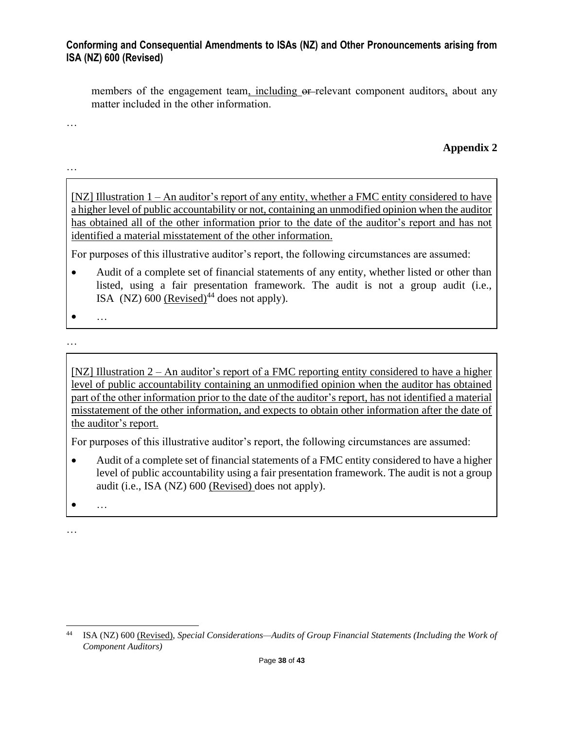members of the engagement team, including or-relevant component auditors, about any matter included in the other information.

…

…

### **Appendix 2**

[NZ] Illustration 1 – An auditor's report of any entity, whether a FMC entity considered to have a higher level of public accountability or not, containing an unmodified opinion when the auditor has obtained all of the other information prior to the date of the auditor's report and has not identified a material misstatement of the other information.

For purposes of this illustrative auditor's report, the following circumstances are assumed:

- Audit of a complete set of financial statements of any entity, whether listed or other than listed, using a fair presentation framework. The audit is not a group audit (i.e., ISA (NZ)  $600$  (Revised)<sup>44</sup> does not apply).
- …
- …

[NZ] Illustration 2 – An auditor's report of a FMC reporting entity considered to have a higher level of public accountability containing an unmodified opinion when the auditor has obtained part of the other information prior to the date of the auditor's report, has not identified a material misstatement of the other information, and expects to obtain other information after the date of the auditor's report.

For purposes of this illustrative auditor's report, the following circumstances are assumed:

- Audit of a complete set of financial statements of a FMC entity considered to have a higher level of public accountability using a fair presentation framework. The audit is not a group audit (i.e., ISA (NZ) 600 (Revised) does not apply).
- …

<sup>44</sup> ISA (NZ) 600 (Revised), *Special Considerations—Audits of Group Financial Statements (Including the Work of Component Auditors)*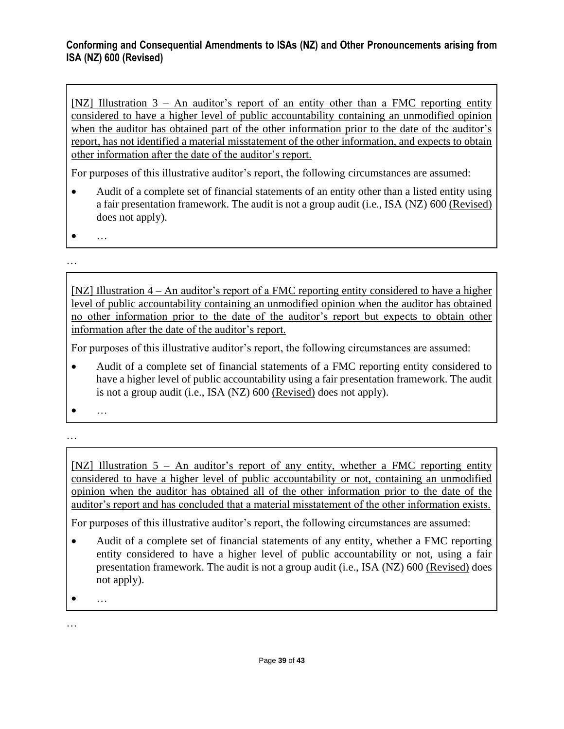[NZ] Illustration  $3 - An$  auditor's report of an entity other than a FMC reporting entity considered to have a higher level of public accountability containing an unmodified opinion when the auditor has obtained part of the other information prior to the date of the auditor's report, has not identified a material misstatement of the other information, and expects to obtain other information after the date of the auditor's report.

For purposes of this illustrative auditor's report, the following circumstances are assumed:

- Audit of a complete set of financial statements of an entity other than a listed entity using a fair presentation framework. The audit is not a group audit (i.e., ISA (NZ) 600 (Revised) does not apply).
- …

…

[NZ] Illustration 4 – An auditor's report of a FMC reporting entity considered to have a higher level of public accountability containing an unmodified opinion when the auditor has obtained no other information prior to the date of the auditor's report but expects to obtain other information after the date of the auditor's report.

For purposes of this illustrative auditor's report, the following circumstances are assumed:

- Audit of a complete set of financial statements of a FMC reporting entity considered to have a higher level of public accountability using a fair presentation framework. The audit is not a group audit (i.e., ISA (NZ) 600 (Revised) does not apply).
- …
- …

[NZ] Illustration 5 – An auditor's report of any entity, whether a FMC reporting entity considered to have a higher level of public accountability or not, containing an unmodified opinion when the auditor has obtained all of the other information prior to the date of the auditor's report and has concluded that a material misstatement of the other information exists.

For purposes of this illustrative auditor's report, the following circumstances are assumed:

- Audit of a complete set of financial statements of any entity, whether a FMC reporting entity considered to have a higher level of public accountability or not, using a fair presentation framework. The audit is not a group audit (i.e., ISA (NZ) 600 (Revised) does not apply).
- …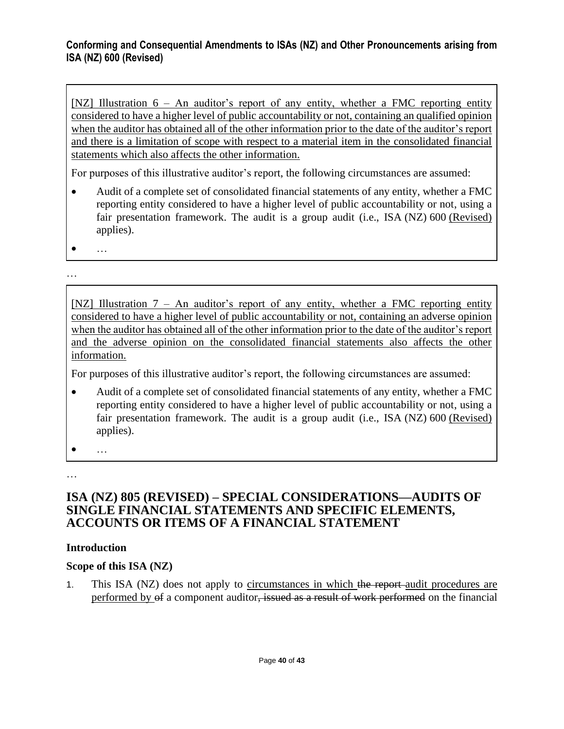[NZ] Illustration 6 – An auditor's report of any entity, whether a FMC reporting entity considered to have a higher level of public accountability or not, containing an qualified opinion when the auditor has obtained all of the other information prior to the date of the auditor's report and there is a limitation of scope with respect to a material item in the consolidated financial statements which also affects the other information.

For purposes of this illustrative auditor's report, the following circumstances are assumed:

- Audit of a complete set of consolidated financial statements of any entity, whether a FMC reporting entity considered to have a higher level of public accountability or not, using a fair presentation framework. The audit is a group audit (i.e., ISA (NZ) 600 (Revised) applies).
- …

…

[NZ] Illustration 7 – An auditor's report of any entity, whether a FMC reporting entity considered to have a higher level of public accountability or not, containing an adverse opinion when the auditor has obtained all of the other information prior to the date of the auditor's report and the adverse opinion on the consolidated financial statements also affects the other information.

For purposes of this illustrative auditor's report, the following circumstances are assumed:

• Audit of a complete set of consolidated financial statements of any entity, whether a FMC reporting entity considered to have a higher level of public accountability or not, using a fair presentation framework. The audit is a group audit (i.e., ISA (NZ) 600 (Revised) applies).

• …

…

### **ISA (NZ) 805 (REVISED) – SPECIAL CONSIDERATIONS—AUDITS OF SINGLE FINANCIAL STATEMENTS AND SPECIFIC ELEMENTS, ACCOUNTS OR ITEMS OF A FINANCIAL STATEMENT**

### **Introduction**

### **Scope of this ISA (NZ)**

1. This ISA (NZ) does not apply to circumstances in which the report-audit procedures are performed by of a component auditor, issued as a result of work performed on the financial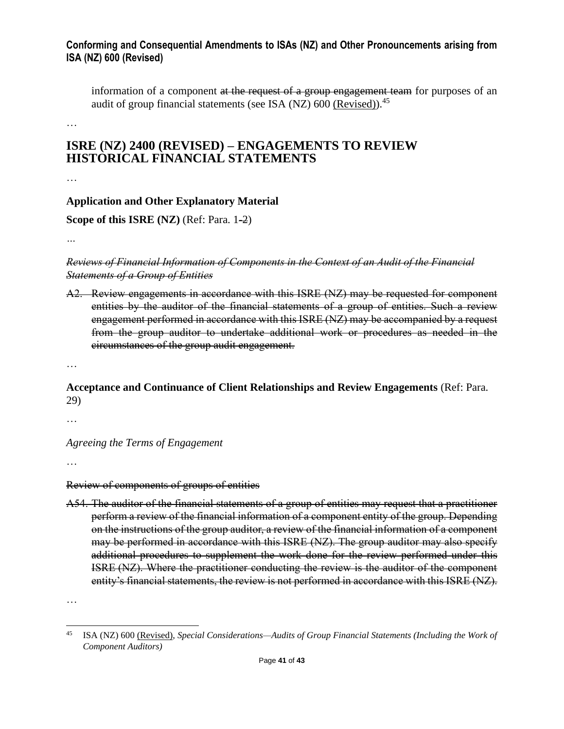information of a component at the request of a group engagement team for purposes of an audit of group financial statements (see ISA (NZ)  $600$  (Revised)).<sup>45</sup>

…

# **ISRE (NZ) 2400 (REVISED) – ENGAGEMENTS TO REVIEW HISTORICAL FINANCIAL STATEMENTS**

…

### **Application and Other Explanatory Material**

**Scope of this ISRE (NZ)** (Ref: Para. 1-2)

*…*

#### *Reviews of Financial Information of Components in the Context of an Audit of the Financial Statements of a Group of Entities*

A2. Review engagements in accordance with this ISRE (NZ) may be requested for component entities by the auditor of the financial statements of a group of entities. Such a review engagement performed in accordance with this ISRE (NZ) may be accompanied by a request from the group auditor to undertake additional work or procedures as needed in the circumstances of the group audit engagement.

…

### **Acceptance and Continuance of Client Relationships and Review Engagements** (Ref: Para. 29)

…

*Agreeing the Terms of Engagement*

…

Review of components of groups of entities

A54. The auditor of the financial statements of a group of entities may request that a practitioner perform a review of the financial information of a component entity of the group. Depending on the instructions of the group auditor, a review of the financial information of a component may be performed in accordance with this ISRE (NZ). The group auditor may also specify additional procedures to supplement the work done for the review performed under this ISRE (NZ). Where the practitioner conducting the review is the auditor of the component entity's financial statements, the review is not performed in accordance with this ISRE (NZ).

<sup>45</sup> ISA (NZ) 600 (Revised), *Special Considerations—Audits of Group Financial Statements (Including the Work of Component Auditors)*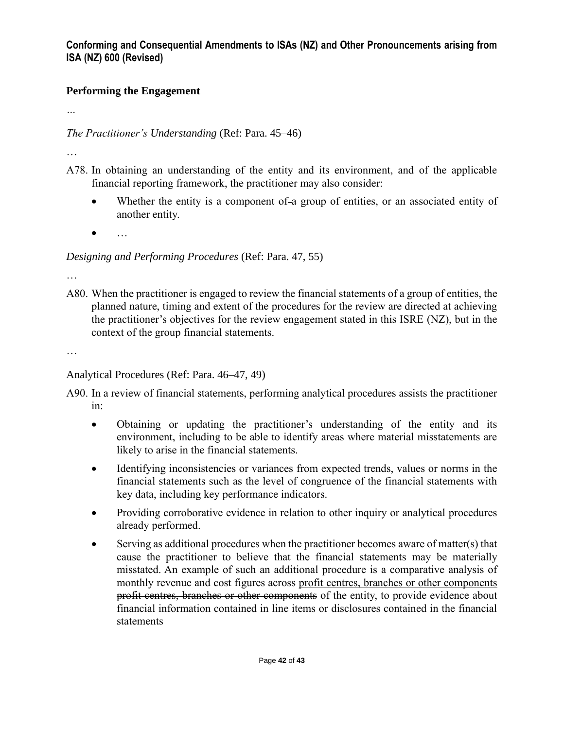## **Performing the Engagement**

*…*

*The Practitioner's Understanding* (Ref: Para. 45–46)

…

- A78. In obtaining an understanding of the entity and its environment, and of the applicable financial reporting framework, the practitioner may also consider:
	- Whether the entity is a component of-a group of entities, or an associated entity of another entity.
	- $\bullet$  …

## *Designing and Performing Procedures* (Ref: Para. 47, 55)

…

A80. When the practitioner is engaged to review the financial statements of a group of entities, the planned nature, timing and extent of the procedures for the review are directed at achieving the practitioner's objectives for the review engagement stated in this ISRE (NZ), but in the context of the group financial statements.

…

Analytical Procedures (Ref: Para. 46–47, 49)

A90. In a review of financial statements, performing analytical procedures assists the practitioner in:

- Obtaining or updating the practitioner's understanding of the entity and its environment, including to be able to identify areas where material misstatements are likely to arise in the financial statements.
- Identifying inconsistencies or variances from expected trends, values or norms in the financial statements such as the level of congruence of the financial statements with key data, including key performance indicators.
- Providing corroborative evidence in relation to other inquiry or analytical procedures already performed.
- Serving as additional procedures when the practitioner becomes aware of matter(s) that cause the practitioner to believe that the financial statements may be materially misstated. An example of such an additional procedure is a comparative analysis of monthly revenue and cost figures across profit centres, branches or other components profit centres, branches or other components of the entity, to provide evidence about financial information contained in line items or disclosures contained in the financial statements